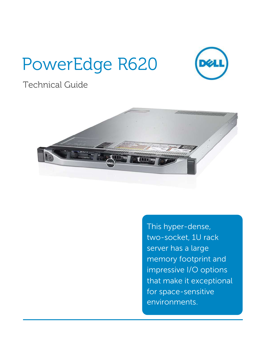# PowerEdge R620



# Technical Guide



This hyper-dense, two-socket, 1U rack server has a large memory footprint and impressive I/O options that make it exceptional for space-sensitive environments.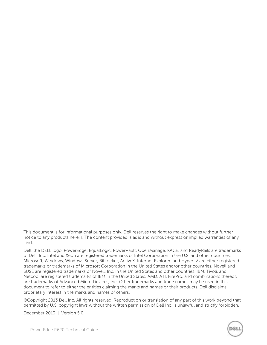This document is for informational purposes only. Dell reserves the right to make changes without further notice to any products herein. The content provided is as is and without express or implied warranties of any kind.

Dell, the DELL logo, PowerEdge, EqualLogic, PowerVault, OpenManage, KACE, and ReadyRails are trademarks of Dell, Inc. Intel and Xeon are registered trademarks of Intel Corporation in the U.S. and other countries. Microsoft, Windows, Windows Server, BitLocker, ActiveX, Internet Explorer, and Hyper-V are either registered trademarks or trademarks of Microsoft Corporation in the United States and/or other countries. Novell and SUSE are registered trademarks of Novell, Inc. in the United States and other countries. IBM, Tivoli, and Netcool are registered trademarks of IBM in the United States. AMD, ATI, FirePro, and combinations thereof, are trademarks of Advanced Micro Devices, Inc. Other trademarks and trade names may be used in this document to refer to either the entities claiming the marks and names or their products. Dell disclaims proprietary interest in the marks and names of others.

©Copyright 2013 Dell Inc. All rights reserved. Reproduction or translation of any part of this work beyond that permitted by U.S. copyright laws without the written permission of Dell Inc. is unlawful and strictly forbidden.

December 2013 | Version 5.0

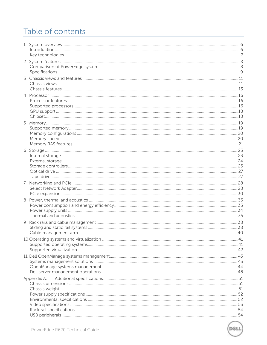# Table of contents

| 3 |             |  |
|---|-------------|--|
|   |             |  |
| 4 |             |  |
|   |             |  |
|   |             |  |
|   |             |  |
|   |             |  |
|   |             |  |
|   |             |  |
|   |             |  |
|   |             |  |
|   |             |  |
|   |             |  |
|   |             |  |
|   |             |  |
| 8 |             |  |
|   |             |  |
|   |             |  |
| 9 |             |  |
|   |             |  |
|   |             |  |
|   |             |  |
|   |             |  |
|   |             |  |
|   |             |  |
|   | Appendix A. |  |
|   |             |  |
|   |             |  |
|   |             |  |
|   |             |  |
|   |             |  |

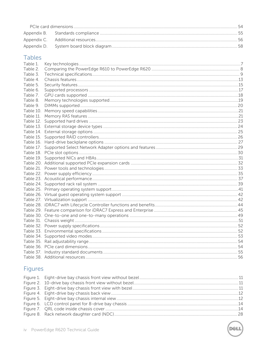### **Tables**

| Table 1. |    |
|----------|----|
| Table 2. |    |
| Table 3. |    |
| Table 4. |    |
| Table 5. |    |
| Table 6. |    |
| Table 7. |    |
| Table 8. |    |
| Table 9. |    |
|          |    |
|          |    |
|          |    |
|          |    |
|          |    |
|          |    |
|          |    |
|          |    |
|          |    |
|          |    |
|          |    |
|          |    |
|          |    |
|          |    |
|          |    |
|          |    |
|          |    |
|          |    |
|          |    |
|          |    |
|          |    |
|          |    |
|          |    |
|          |    |
|          |    |
|          |    |
|          |    |
|          |    |
|          | 56 |

# Figures

**DEL** 

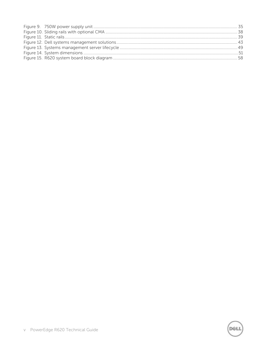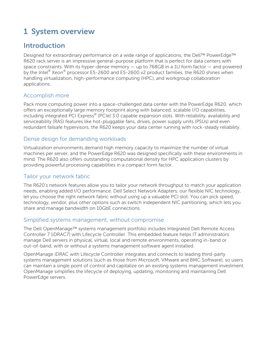# <span id="page-5-0"></span>**1 System overview**

# <span id="page-5-1"></span>**Introduction**

Designed for extraordinary performance on a wide range of applications, the Dell™ PowerEdge™ R620 rack server is an impressive general-purpose platform that is perfect for data centers with space constraints. With its hyper-dense memory — up to 768GB in a 1U form factor — and powered by the Intel® Xeon® processor E5-2600 and E5-2600 v2 product families, the R620 shines when handling virtualization, high-performance computing (HPC), and workgroup collaboration applications.

### Accomplish more

Pack more computing power into a space-challenged data center with the PowerEdge R620, which offers an exceptionally large memory footprint along with balanced, scalable I/O capabilities, including integrated PCI Express® (PCIe) 3.0 capable expansion slots. With reliability, availability and serviceability (RAS) features like hot-pluggable fans, drives, power supply units (PSUs) and even redundant failsafe hypervisors, the R620 keeps your data center running with rock-steady reliability.

### Dense design for demanding workloads

Virtualization environments demand high memory capacity to maximize the number of virtual machines per server, and the PowerEdge R620 was designed specifically with these environments in mind. The R620 also offers outstanding computational density for HPC application clusters by providing powerful processing capabilities in a compact form factor.

#### Tailor your network fabric

The R620's network features allow you to tailor your network throughput to match your application needs, enabling added I/O performance. Dell Select Network Adapters, our flexible NIC technology, let you choose the right network fabric without using up a valuable PCI slot. You can pick speed, technology, vendor, plus other options such as switch independent NIC partitioning, which lets you share and manage bandwidth on 10GbE connections.

#### Simplified systems management, without compromise

The Dell OpenManage™ systems management portfolio includes Integrated Dell Remote Access Controller 7 (iDRAC7) with Lifecycle Controller. This embedded feature helps IT administrators manage Dell servers in physical, virtual, local and remote environments, operating in-band or out-of-band, with or without a systems management software agent installed.

OpenManage iDRAC with Lifecycle Controller integrates and connects to leading third-party systems management solutions (such as those from Microsoft, VMware and BMC Software), so users can maintain a single point of control and capitalize on an existing systems management investment. OpenManage simplifies the lifecycle of deploying, updating, monitoring and maintaining Dell PowerEdge servers.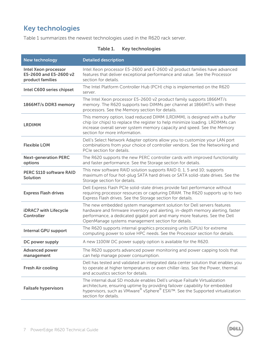# <span id="page-6-0"></span>**Key technologies**

<span id="page-6-1"></span>[Table 1](#page-6-1) summarizes the newest technologies used in the R620 rack server.

| <b>New technology</b>                                                     | <b>Detailed description</b>                                                                                                                                                                                                                                                                 |
|---------------------------------------------------------------------------|---------------------------------------------------------------------------------------------------------------------------------------------------------------------------------------------------------------------------------------------------------------------------------------------|
| <b>Intel Xeon processor</b><br>E5-2600 and E5-2600 v2<br>product families | Intel Xeon processor E5-2600 and E-2600 v2 product families have advanced<br>features that deliver exceptional performance and value. See the Processor<br>section for details.                                                                                                             |
| Intel C600 series chipset                                                 | The Intel Platform Controller Hub (PCH) chip is implemented on the R620<br>server.                                                                                                                                                                                                          |
| 1866MT/s DDR3 memory                                                      | The Intel Xeon processor E5-2600 v2 product family supports 1866MT/s<br>memory. The R620 supports two DIMMs per channel at 1866MT/s with these<br>processors. See the Memory section for details.                                                                                           |
| <b>LRDIMM</b>                                                             | This memory option, load reduced DIMM (LRDIMM), is designed with a buffer<br>chip (or chips) to replace the register to help minimize loading. LRDIMMs can<br>increase overall server system memory capacity and speed. See the Memory<br>section for more information.                     |
| <b>Flexible LOM</b>                                                       | Dell's Select Network Adapter options allow you to customize your LAN port<br>combinations from your choice of controller vendors. See the Networking and<br>PCIe section for details.                                                                                                      |
| <b>Next-generation PERC</b><br>options                                    | The R620 supports the new PERC controller cards with improved functionality<br>and faster performance. See the Storage section for details.                                                                                                                                                 |
| <b>PERC S110 software RAID</b><br>Solution                                | This new software RAID solution supports RAID 0, 1, 5 and 10; supports<br>maximum of four hot-plug SATA hard drives or SATA solid-state drives. See the<br>Storage section for details.                                                                                                     |
| <b>Express Flash drives</b>                                               | Dell Express Flash PCIe solid-state drives provide fast performance without<br>requiring processor resources or capturing DRAM. The R620 supports up to two<br>Express Flash drives. See the Storage section for details.                                                                   |
| <b>iDRAC7</b> with Lifecycle<br>Controller                                | The new embedded system management solution for Dell servers features<br>hardware and firmware inventory and alerting, in-depth memory alerting, faster<br>performance, a dedicated gigabit port and many more features. See the Dell<br>OpenManage systems management section for details. |
| <b>Internal GPU support</b>                                               | The R620 supports internal graphics processing units (GPUs) for extreme<br>computing power to solve HPC needs. See the Processor section for details.                                                                                                                                       |
| DC power supply                                                           | A new 1100W DC power supply option is available for the R620.                                                                                                                                                                                                                               |
| <b>Advanced power</b><br>management                                       | The R620 supports advanced power monitoring and power capping tools that<br>can help manage power consumption.                                                                                                                                                                              |
| <b>Fresh Air cooling</b>                                                  | Dell has tested and validated an integrated data center solution that enables you<br>to operate at higher temperatures or even chiller-less. See the Power, thermal<br>and acoustics section for details.                                                                                   |
| <b>Failsafe hypervisors</b>                                               | The internal dual SD module enables Dell's unique Failsafe Virtualization<br>architecture, ensuring uptime by providing failover capability for embedded<br>hypervisors, such as VMware® vSphere® ESXi™. See the Supported virtualization<br>section for details.                           |

#### **Table 1. Key technologies**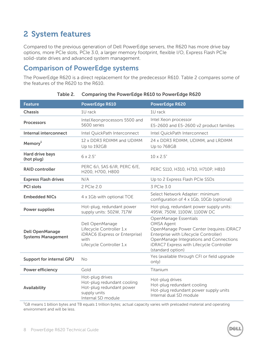# <span id="page-7-0"></span>**2 System features**

Compared to the previous generation of Dell PowerEdge servers, the R620 has more drive bay options, more PCIe slots, PCIe 3.0, a larger memory footprint, flexible I/O, Express Flash PCIe solid-state drives and advanced system management.

### <span id="page-7-1"></span>**Comparison of PowerEdge systems**

The PowerEdge R620 is a direct replacement for the predecessor R610. [Table 2](#page-7-2) compares some of the features of the R620 to the R610.

<span id="page-7-2"></span>

| <b>Feature</b>                                      | <b>PowerEdge R610</b>                                                                                             | <b>PowerEdge R620</b>                                                                                                                                                                                                                       |
|-----------------------------------------------------|-------------------------------------------------------------------------------------------------------------------|---------------------------------------------------------------------------------------------------------------------------------------------------------------------------------------------------------------------------------------------|
| <b>Chassis</b>                                      | 1U rack                                                                                                           | 1U rack                                                                                                                                                                                                                                     |
| <b>Processors</b>                                   | Intel Xeon processors 5500 and<br>5600 series                                                                     | Intel Xeon processor<br>E5-2600 and E5-2600 v2 product families                                                                                                                                                                             |
| <b>Internal interconnect</b>                        | Intel QuickPath Interconnect                                                                                      | Intel QuickPath Interconnect                                                                                                                                                                                                                |
| Memory <sup>1</sup>                                 | 12 x DDR3 RDIMM and UDIMM<br>Up to 192GB                                                                          | 24 x DDR3 RDIMM, UDIMM, and LRDIMM<br>Up to 768GB                                                                                                                                                                                           |
| <b>Hard drive bays</b><br>(hot plug)                | 6 x 2.5"                                                                                                          | $10 \times 2.5$ "                                                                                                                                                                                                                           |
| <b>RAID controller</b>                              | PERC 6/i, SAS 6/iR, PERC 6/E,<br>H200, H700, H800                                                                 | PERC S110, H310, H710, H710P, H810                                                                                                                                                                                                          |
| <b>Express Flash drives</b>                         | N/A                                                                                                               | Up to 2 Express Flash PCIe SSDs                                                                                                                                                                                                             |
| <b>PCI slots</b>                                    | 2 PCIe 2.0                                                                                                        | 3 PCIe 3.0                                                                                                                                                                                                                                  |
| <b>Embedded NICs</b>                                | 4 x 1Gb with optional TOE                                                                                         | Select Network Adapter: minimum<br>configuration of 4 x 1Gb, 10Gb (optional)                                                                                                                                                                |
| <b>Power supplies</b>                               | Hot-plug, redundant power<br>supply units: 502W, 717W                                                             | Hot-plug, redundant power supply units:<br>495W, 750W, 1100W, 1100W DC                                                                                                                                                                      |
| <b>Dell OpenManage</b><br><b>Systems Management</b> | Dell OpenManage<br>Lifecycle Controller 1.x<br>iDRAC6 (Express or Enterprise)<br>with<br>Lifecycle Controller 1.x | OpenManage Essentials<br><b>OMSA Agent</b><br>OpenManage Power Center (requires iDRAC7<br>Enterprise with Lifecycle Controller)<br>OpenManage Integrations and Connections<br>iDRAC7 Express with Lifecycle Controller<br>(standard option) |
| <b>Support for internal GPU</b>                     | <b>No</b>                                                                                                         | Yes (available through CFI or field upgrade<br>only)                                                                                                                                                                                        |
| <b>Power efficiency</b>                             | Gold                                                                                                              | Titanium                                                                                                                                                                                                                                    |
| Availability                                        | Hot-plug drives<br>Hot-plug redundant cooling<br>Hot-plug redundant power<br>supply units<br>Internal SD module   | Hot-plug drives<br>Hot-plug redundant cooling<br>Hot-plug redundant power supply units<br>Internal dual SD module                                                                                                                           |

| Table 2. | <b>Comparing the PowerEdge R610 to PowerEdge R620</b> |  |  |
|----------|-------------------------------------------------------|--|--|
|----------|-------------------------------------------------------|--|--|

 ${}^{1}$ GB means 1 billion bytes and TB equals 1 trillion bytes; actual capacity varies with preloaded material and operating environment and will be less.

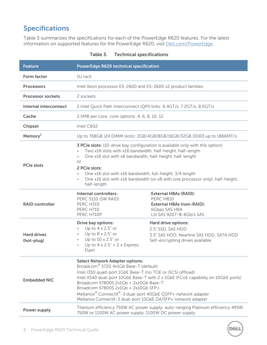# <span id="page-8-0"></span>**Specifications**

[Table 3](#page-8-1) summarizes the specifications for each of the PowerEdge R620 features. For the latest information on supported features for the PowerEdge R620, visit [Dell.com/PowerEdge.](http://www.dell.com/poweredge)

<span id="page-8-1"></span>

| <b>Feature</b>                                                                                                                                                                                                                                                                                                                                                                                                                                                                     | <b>PowerEdge R620 technical specification</b>                                                                                                                                                                                                      |                                                                                                                                                                       |
|------------------------------------------------------------------------------------------------------------------------------------------------------------------------------------------------------------------------------------------------------------------------------------------------------------------------------------------------------------------------------------------------------------------------------------------------------------------------------------|----------------------------------------------------------------------------------------------------------------------------------------------------------------------------------------------------------------------------------------------------|-----------------------------------------------------------------------------------------------------------------------------------------------------------------------|
| Form factor<br>1U rack                                                                                                                                                                                                                                                                                                                                                                                                                                                             |                                                                                                                                                                                                                                                    |                                                                                                                                                                       |
| <b>Processors</b>                                                                                                                                                                                                                                                                                                                                                                                                                                                                  | Intel Xeon processor E5-2600 and E5-2600 v2 product families                                                                                                                                                                                       |                                                                                                                                                                       |
| <b>Processor sockets</b>                                                                                                                                                                                                                                                                                                                                                                                                                                                           | 2 sockets                                                                                                                                                                                                                                          |                                                                                                                                                                       |
| Internal interconnect                                                                                                                                                                                                                                                                                                                                                                                                                                                              |                                                                                                                                                                                                                                                    | 2 Intel Quick Path Interconnect (QPI) links: 6.4GT/s, 7.2GT/s, 8.0GT/s                                                                                                |
| Cache                                                                                                                                                                                                                                                                                                                                                                                                                                                                              | 2.5MB per core; core options: 4, 6, 8, 10, 12                                                                                                                                                                                                      |                                                                                                                                                                       |
| Chipset                                                                                                                                                                                                                                                                                                                                                                                                                                                                            | Intel C602                                                                                                                                                                                                                                         |                                                                                                                                                                       |
| Memory <sup>1</sup>                                                                                                                                                                                                                                                                                                                                                                                                                                                                |                                                                                                                                                                                                                                                    | Up to 768GB (24 DIMM slots): 2GB/4GB/8GB/16GB/32GB DDR3 up to 1866MT/s                                                                                                |
| <b>PCIe slots</b>                                                                                                                                                                                                                                                                                                                                                                                                                                                                  | Two x16 slots with x16 bandwidth, half-height, half-length<br>One x16 slot with x8 bandwidth, half-height, half-length<br>$\bullet$<br>or<br>2 PCIe slots:<br>One x16 slot with x16 bandwidth, full-height, 3/4 length<br>$\bullet$<br>half-length | <b>3 PCIe slots:</b> (10-drive bay configuration is available only with this option)<br>One x16 slot with x16 bandwidth (or x8 with one processor only), half-height, |
| <b>RAID controller</b>                                                                                                                                                                                                                                                                                                                                                                                                                                                             | Internal controllers:<br>PERC S110 (SW RAID)<br><b>PERC H310</b><br><b>PERC H710</b><br>PERC H710P                                                                                                                                                 | <b>External HBAs (RAID):</b><br><b>PERC H810</b><br><b>External HBAs (non-RAID):</b><br><b>6Gbps SAS HBA</b><br>LSI SAS 9207-8i 6Gb/s SAS                             |
| <b>Hard drives</b><br>(hot-plug)                                                                                                                                                                                                                                                                                                                                                                                                                                                   | Drive bay options:<br>Up to $4 \times 2.5$ " or<br>Up to $8 \times 2.5$ " or<br>$\bullet$<br>Up to 10 x 2.5" or<br>$\bullet$<br>Up to $4 \times 2.5" + 2 \times Express$<br>$\bullet$<br>Flash                                                     | Hard drive options:<br>2.5" SSD, SAS HDD<br>3.5" SAS HDD, Nearline SAS HDD, SATA HDD<br>Self-encrypting drives available                                              |
| <b>Select Network Adapter options:</b><br>Broadcom® 5720 4x1Gb Base-T (default)<br>Intel I350 quad-port 1GbE Base-T (no TOE or iSCSI offload)<br>Intel X540 dual-port 10GbE Base-T with 2 x 1GbE (FCoE capability on 10GbE ports)<br><b>Embedded NIC</b><br>Broadcom 57800S 2x1Gb + 2x10Gb Base-T<br>Broadcom 57800S 2x1Gb + 2x10Gb SFP+<br>Mellanox <sup>®</sup> ConnectX®-3 dual-port 40GbE QSFP+ network adapter<br>Mellanox ConnectX-3 dual-port 10GbE DA/SFP+ network adapter |                                                                                                                                                                                                                                                    |                                                                                                                                                                       |
| Power supply                                                                                                                                                                                                                                                                                                                                                                                                                                                                       | 750W or 1100W AC power supply; 1100W DC power supply                                                                                                                                                                                               | Titanium efficiency 750W AC power supply; auto-ranging Platinum efficiency 495W,                                                                                      |

DEL

**Table 3. Technical specifications**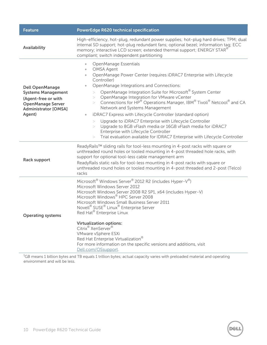| <b>Feature</b>                                                                                                                                  | <b>PowerEdge R620 technical specification</b>                                                                                                                                                                                                                                                                                                                                                                                                                                                                                                                                                                                                                                                                                                                                                               |  |
|-------------------------------------------------------------------------------------------------------------------------------------------------|-------------------------------------------------------------------------------------------------------------------------------------------------------------------------------------------------------------------------------------------------------------------------------------------------------------------------------------------------------------------------------------------------------------------------------------------------------------------------------------------------------------------------------------------------------------------------------------------------------------------------------------------------------------------------------------------------------------------------------------------------------------------------------------------------------------|--|
| Availability                                                                                                                                    | High-efficiency, hot-plug, redundant power supplies; hot-plug hard drives; TPM; dual<br>internal SD support; hot-plug redundant fans; optional bezel; information tag; ECC<br>memory; interactive LCD screen; extended thermal support; ENERGY STAR®<br>compliant; switch independent partitioning                                                                                                                                                                                                                                                                                                                                                                                                                                                                                                          |  |
| <b>Dell OpenManage</b><br><b>Systems Management</b><br>(Agent-free or with<br><b>OpenManage Server</b><br><b>Administrator [OMSA]</b><br>Agent) | OpenManage Essentials<br>$\bullet$<br><b>OMSA Agent</b><br>$\bullet$<br>OpenManage Power Center (requires iDRAC7 Enterprise with Lifecycle<br>$\bullet$<br>Controller)<br>OpenManage Integrations and Connections:<br>$\bullet$<br>OpenManage Integration Suite for Microsoft® System Center<br>><br>OpenManage Integration for VMware vCenter<br>><br>Connections for HP® Operations Manager, IBM® Tivoli® Netcool® and CA<br>$\geq$<br>Network and Systems Management<br>iDRAC7 Express with Lifecycle Controller (standard option)<br>$\bullet$<br>Upgrade to iDRAC7 Enterprise with Lifecycle Controller<br>><br>Upgrade to 8GB vFlash media or 16GB vFlash media for iDRAC7<br>Enterprise with Lifecycle Controller<br>Trial evaluation available for IDRAC7 Enterprise with Lifecycle Controller<br>> |  |
| <b>Rack support</b>                                                                                                                             | ReadyRails™ sliding rails for tool-less mounting in 4-post racks with square or<br>unthreaded round holes or tooled mounting in 4-post threaded hole racks, with<br>support for optional tool-less cable management arm<br>ReadyRails static rails for tool-less mounting in 4-post racks with square or<br>unthreaded round holes or tooled mounting in 4-post threaded and 2-post (Telco)<br>racks                                                                                                                                                                                                                                                                                                                                                                                                        |  |
| <b>Operating systems</b>                                                                                                                        | Microsoft® Windows Server® 2012 R2 (includes Hyper-V®)<br>Microsoft Windows Server 2012<br>Microsoft Windows Server 2008 R2 SP1, x64 (includes Hyper-V)<br>Microsoft Windows® HPC Server 2008<br>Microsoft Windows Small Business Server 2011<br>Novell® SUSE® Linux® Enterprise Server<br>Red Hat® Enterprise Linux<br><b>Virtualization options:</b><br>Citrix <sup>®</sup> XenServer <sup>®</sup><br>VMware vSphere ESXi<br>Red Hat Enterprise Virtualization®<br>For more information on the specific versions and additions, visit<br>Dell.com/OSsupport.                                                                                                                                                                                                                                              |  |

 $^{\rm 1}$ GB means 1 billion bytes and TB equals 1 trillion bytes; actual capacity varies with preloaded material and operating environment and will be less.

X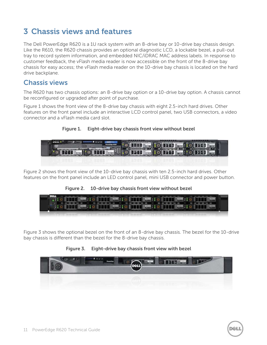# <span id="page-10-0"></span>**3 Chassis views and features**

The Dell PowerEdge R620 is a 1U rack system with an 8-drive bay or 10-drive bay chassis design. Like the R610, the R620 chassis provides an optional diagnostic LCD, a lockable bezel, a pull-out tray to record system information, and embedded NIC/iDRAC MAC address labels. In response to customer feedback, the vFlash media reader is now accessible on the front of the 8-drive bay chassis for easy access; the vFlash media reader on the 10-drive bay chassis is located on the hard drive backplane.

### <span id="page-10-1"></span>**Chassis views**

The R620 has two chassis options: an 8-drive bay option or a 10-drive bay option. A chassis cannot be reconfigured or upgraded after point of purchase.

[Figure 1](#page-10-2) shows the front view of the 8-drive bay chassis with eight 2.5-inch hard drives. Other features on the front panel include an interactive LCD control panel, two USB connectors, a video connector and a vFlash media card slot.

**Figure 1. Eight-drive bay chassis front view without bezel**

<span id="page-10-2"></span>

[Figure 2](#page-10-3) shows the front view of the 10-drive bay chassis with ten 2.5-inch hard drives. Other features on the front panel include an LED control panel, mini USB connector and power button.

<span id="page-10-3"></span>**Figure 2. 10-drive bay chassis front view without bezel**



[Figure 3](#page-10-4) shows the optional bezel on the front of an 8-drive bay chassis. The bezel for the 10-drive bay chassis is different than the bezel for the 8-drive bay chassis.

<span id="page-10-4"></span>**Figure 3. Eight-drive bay chassis front view with bezel**

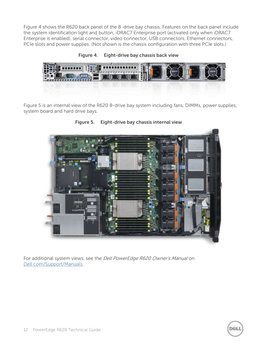[Figure 4](#page-11-0) shows the R620 back panel of the 8-drive bay chassis. Features on the back panel include the system identification light and button, iDRAC7 Enterprise port (activated only when iDRAC7 Enterprise is enabled), serial connector, video connector, USB connectors, Ethernet connectors, PCIe slots and power supplies. (Not shown is the chassis configuration with three PCIe slots.)

<span id="page-11-0"></span>**Figure 4. Eight-drive bay chassis back view**



<span id="page-11-1"></span>[Figure 5](#page-11-1) is an internal view of the R620 8-drive bay system including fans, DIMMs, power supplies, system board and hard drive bays.



**Figure 5. Eight-drive bay chassis internal view**

For additional system views, see the Dell PowerEdge R620 Owner's Manual on [Dell.com/Support/Manuals.](http://www.dell.com/support/manuals)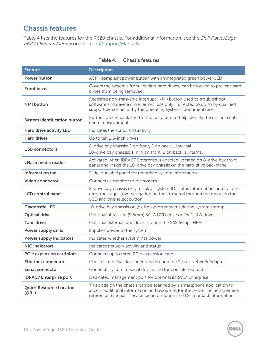# <span id="page-12-0"></span>**Chassis features**

[Table 4](#page-12-1) lists the features for the R620 chassis. For additional information, see the Dell PowerEdge R620 Owner's Manual on [Dell.com/Support/Manuals.](http://www.dell.com/support/manuals)

<span id="page-12-1"></span>

| <b>Feature</b>                         | <b>Description</b>                                                                                                                                                                                                                    |
|----------------------------------------|---------------------------------------------------------------------------------------------------------------------------------------------------------------------------------------------------------------------------------------|
| <b>Power button</b>                    | ACPI-complaint power button with an integrated green power LED                                                                                                                                                                        |
| <b>Front bezel</b>                     | Covers the system's front-loading hard drives; can be locked to prevent hard<br>drives from being removed                                                                                                                             |
| <b>NMI</b> button                      | Recessed non-maskable interrupt (NMI) button used to troubleshoot<br>software and device driver errors; use only if directed to do so by qualified<br>support personnel or by the operating system's documentation                    |
| System identification button           | Buttons on the back and front of a system to help identify the unit in a data<br>center environment                                                                                                                                   |
| <b>Hard drive activity LED</b>         | Indicates the status and activity                                                                                                                                                                                                     |
| <b>Hard drives</b>                     | Up to ten 2.5-inch drives                                                                                                                                                                                                             |
| <b>USB connectors</b>                  | 8-drive bay chassis: 2 on front, 2 on back, 1 internal<br>10-drive bay chassis: 1 mini on front, 2 on back, 1 internal                                                                                                                |
| vFlash media reader                    | Activated when iDRAC7 Enterprise is enabled; located on 8-drive bay front<br>panel and inside the 10-drive bay chassis on the hard drive backplane                                                                                    |
| Information tag                        | Slide-out label panel for recording system information                                                                                                                                                                                |
| <b>Video connector</b>                 | Connects a monitor to the system                                                                                                                                                                                                      |
| <b>LCD</b> control panel               | 8-drive bay chassis only; displays system ID, status information, and system<br>error messages; two navigation buttons to scroll through the menu on the<br>LCD and one select button                                                 |
| <b>Diagnostic LED</b>                  | 10-drive bay chassis only; displays error status during system startup                                                                                                                                                                |
| <b>Optical drive</b>                   | Optional ultra-slim (9.5mm) SATA DVD drive or DVD+RW drive                                                                                                                                                                            |
| <b>Tape drive</b>                      | Optional external tape drive through the SAS 6Gbps HBA                                                                                                                                                                                |
| Power supply units                     | Supplies power to the system                                                                                                                                                                                                          |
| <b>Power supply indicators</b>         | Indicates whether system has power                                                                                                                                                                                                    |
| <b>NIC indicators</b>                  | Indicates network activity and status                                                                                                                                                                                                 |
| PCIe expansion card slots              | Connects up to three PCIe expansion cards                                                                                                                                                                                             |
| <b>Ethernet connectors</b>             | Choices of network connectors through the Select Network Adapter                                                                                                                                                                      |
| Serial connector                       | Connects system to serial device and for console redirect                                                                                                                                                                             |
| <b>iDRAC7</b> Enterprise port          | Dedicated management port for optional iDRAC7 Enterprise                                                                                                                                                                              |
| <b>Quick Resource Locator</b><br>(QRL) | This code on the chassis can be scanned by a smartphone application to<br>access additional information and resources for the server, including videos,<br>reference materials, service tag information and Dell contact information. |

X

#### **Table 4. Chassis features**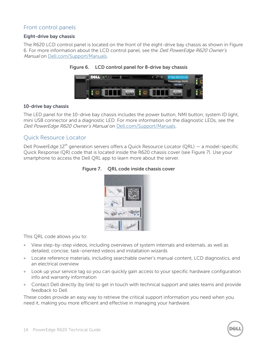#### Front control panels

#### **Eight-drive bay chassis**

<span id="page-13-0"></span>The R620 LCD control panel is located on the front of the eight-drive bay chassis as shown in [Figure](#page-13-0)  [6.](#page-13-0) For more information about the LCD control panel, see the Dell PowerEdge R620 Owner's Manual on [Dell.com/Support/Manuals.](http://www.dell.com/support/manuals)



#### **Figure 6. LCD control panel for 8-drive bay chassis**

#### **10-drive bay chassis**

The LED panel for the 10-drive bay chassis includes the power button, NMI button, system ID light, mini USB connector and a diagnostic LED. For more information on the diagnostic LEDs, see the Dell PowerEdge R620 Owner's Manual on [Dell.com/Support/Manuals.](http://www.dell.com/support/manuals)

#### Quick Resource Locator

<span id="page-13-1"></span>Dell PowerEdge  $12<sup>th</sup>$  generation servers offers a Quick Resource Locator (QRL) — a model-specific Quick Response (QR) code that is located inside the R620 chassis cover (see [Figure 7\)](#page-13-1). Use your smartphone to access the Dell QRL app to learn more about the server.





This QRL code allows you to:

- View step-by-step videos, including overviews of system internals and externals, as well as detailed, concise, task-oriented videos and installation wizards
- Locate reference materials, including searchable owner's manual content, LCD diagnostics, and an electrical overview
- Look up your service tag so you can quickly gain access to your specific hardware configuration info and warranty information
- Contact Dell directly (by link) to get in touch with technical support and sales teams and provide feedback to Dell

These codes provide an easy way to retrieve the critical support information you need when you need it, making you more efficient and effective in managing your hardware.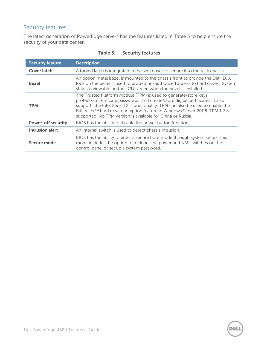### Security features

The latest generation of PowerEdge servers has the features listed in [Table 5](#page-14-0) to help ensure the security of your data center.

<span id="page-14-0"></span>

| <b>Security feature</b>   | <b>Description</b>                                                                                                                                                                                                                                                                                                                                                                 |
|---------------------------|------------------------------------------------------------------------------------------------------------------------------------------------------------------------------------------------------------------------------------------------------------------------------------------------------------------------------------------------------------------------------------|
| Cover latch               | A tooled latch is integrated in the side cover to secure it to the rack chassis.                                                                                                                                                                                                                                                                                                   |
| <b>Bezel</b>              | An option metal bezel is mounted to the chassis front to provide the Dell ID. A<br>lock on the bezel is used to protect un-authorized access to hard drives. System<br>status is viewable on the LCD screen when the bezel is installed.                                                                                                                                           |
| <b>TPM</b>                | The Trusted Platform Module (TPM) is used to generate/store keys,<br>protect/authenticate passwords, and create/store digital certificates. It also<br>supports the Intel Xeon TXT functionality. TPM can also be used to enable the<br>BitLocker™ hard drive encryption feature in Windows Server 2008. TPM 1.2 is<br>supported. No TPM version is available for China or Russia. |
| <b>Power-off security</b> | BIOS has the ability to disable the power button function.                                                                                                                                                                                                                                                                                                                         |
| Intrusion alert           | An internal switch is used to detect chassis intrusion.                                                                                                                                                                                                                                                                                                                            |
| Secure mode               | BIOS has the ability to enter a secure boot mode through system setup. This<br>mode includes the option to lock out the power and NMI switches on the<br>control panel or set up a system password.                                                                                                                                                                                |

#### **Table 5. Security features**

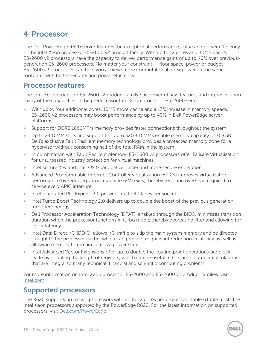# <span id="page-15-0"></span>**4 Processor**

The Dell PowerEdge R620 server features the exceptional performance, value and power efficiency of the Intel Xeon processor E5-2600 v2 product family. With up to 12 cores and 30MB cache, E5-2600 v2 processors have the capacity to deliver performance gains of up to 40% over previousgeneration E5-2600 processors. No matter your constraint — floor space, power or budget — E5-2600 v2 processors can help you achieve more computational horsepower, in the same footprint, with better security and power efficiency.

### <span id="page-15-1"></span>**Processor features**

The Intel Xeon processor E5-2600 v2 product family has powerful new features and improves upon many of the capabilities of the predecessor Intel Xeon processor E5-2600 series:

- With up to four additional cores, 10MB more cache and a 17% increase in memory speeds, E5-2600 v2 processors may boost performance by up to 40% in Dell PowerEdge server platforms.
- Support for DDR3 1866MT/s memory provides faster connections throughout the system.
- Up to 24 DIMM slots and support for up to 32GB DIMMs enable memory capacity of 768GB. Dell's exclusive Fault Resilient Memory technology provides a protected memory zone for a hypervisor without consuming half of the total RAM in the system.
- In combination with Fault Resilient Memory, E5-2600 v2 processors offer Failsafe Virtualization for unsurpassed industry protection for virtual machines.
- Intel Secure Key and Intel OS Guard deliver faster and more secure encryption.
- Advanced Programmable Interrupt Controller virtualization (APICv) improves virtualization performance by reducing virtual machine (VM) exits, thereby reducing overhead required to service every APIC interrupt.
- Intel Integrated PCI Express 3.0 provides up to 40 lanes per socket.
- Intel Turbo Boost Technology 2.0 delivers up to double the boost of the previous generation turbo technology.
- Dell Processor Acceleration Technology (DPAT), enabled through the BIOS, minimizes transition duration when the processor functions in turbo mode, thereby decreasing jitter and allowing for lesser latency.
- Intel Data Direct I/O (DDIO) allows I/O traffic to skip the main system memory and be directed straight to the processor cache, which can provide a significant reduction in latency as well as allowing memory to remain in a low-power state.
- Intel Advanced Vector Extensions offer up to double the floating point operations per clock cycle by doubling the length of registers, which can be useful in the large-number calculations that are integral to many technical, financial and scientific computing problems.

For more information on Intel Xeon processor E5-2600 and E5-2600 v2 product families, visit [Intel.com.](http://www.intel.com/)

# <span id="page-15-2"></span>**Supported processors**

The R620 supports up to two processors with up to 12 cores per processor. [Table 6Table 6](#page-16-0) lists the Intel Xeon processors supported by the PowerEdge R620. For the latest information on supported processors, visit [Dell.com/PowerEdge.](http://www.dell.com/poweredge)

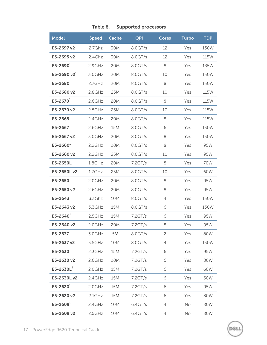<span id="page-16-0"></span>

| <b>Model</b>         | <b>Speed</b> | Cache | QPI        | <b>Cores</b>   | <b>Turbo</b> | <b>TDP</b> |
|----------------------|--------------|-------|------------|----------------|--------------|------------|
| E5-2697 v2           | 2.7Ghz       | 30M   | 8.0GT/s    | 12             | Yes          | 130W       |
| E5-2695 v2           | 2.4Ghz       | 30M   | 8.0GT/s    | 12             | Yes          | 115W       |
| E5-2690 $^{1}$       | 2.9GHz       | 20M   | 8.0GT/s    | 8              | Yes          | 135W       |
| E5-2690 v2 $^{1}$    | 3.0GHz       | 20M   | 8.0GT/s    | 10             | Yes          | 130W       |
| E5-2680              | $2.7$ GHz    | 20M   | 8.0GT/s    | 8              | Yes          | 130W       |
| E5-2680 v2           | 2.8GHz       | 25M   | 8.0GT/s    | 10             | Yes          | 115W       |
| E5-2670 $^{1}$       | 2.6GHz       | 20M   | 8.0GT/s    | 8              | Yes          | 115W       |
| E5-2670 v2           | 2.5GHz       | 25M   | 8.0GT/s    | 10             | Yes          | 115W       |
| E5-2665              | 2.4GHz       | 20M   | 8.0GT/s    | 8              | Yes          | 115W       |
| E5-2667              | 2.6GHz       | 15M   | 8.0GT/s    | 6              | Yes          | 130W       |
| E5-2667 v2           | $3.0$ GHz    | 20M   | 8.0GT/s    | 8              | Yes          | 130W       |
| E5-2660 $^{1}$       | 2.2GHz       | 20M   | 8.0GT/s    | 8              | Yes          | 95W        |
| E5-2660 v2           | 2.2GHz       | 25M   | 8.0GT/s    | 10             | Yes          | 95W        |
| E5-2650L             | $1.8$ GHz    | 20M   | 7.2GT/s    | 8              | Yes          | 70W        |
| E5-2650Lv2           | $1.7$ GHz    | 25M   | 8.0GT/s    | 10             | Yes          | 60W        |
| E5-2650              | $2.0$ GHz    | 20M   | $8.0$ GT/s | 8              | Yes          | 95W        |
| E5-2650 v2           | 2.6GHz       | 20M   | 8.0GT/s    | 8              | Yes          | 95W        |
| E5-2643              | 3.3Ghz       | 10M   | 8.0GT/s    | 4              | Yes          | 130W       |
| E5-2643 v2           | 3.3GHz       | 15M   | 8.0GT/s    | 6              | Yes          | 130W       |
| E5-2640 <sup>1</sup> | 2.5GHz       | 15M   | 7.2GT/s    | 6              | Yes          | 95W        |
| E5-2640 v2           | $2.0$ GHz    | 20M   | 7.2GT/s    | 8              | Yes          | 95W        |
| E5-2637              | 3.0GHz       | 5M    | 8.0GT/s    | $\overline{c}$ | Yes          | 80W        |
| E5-2637 v2           | 3.5GHz       | 10M   | 8.0GT/s    | 4              | Yes          | 130W       |
| E5-2630              | 2.3GHz       | 15M   | 7.2GT/s    | 6              | Yes          | 95W        |
| E5-2630 v2           | 2.6GHz       | 20M   | 7.2GT/s    | 6              | Yes          | 80W        |
| $E5 - 2630L1$        | $2.0$ GHz    | 15M   | 7.2GT/s    | 6              | Yes          | 60W        |
| E5-2630Lv2           | 2.4GHz       | 15M   | 7.2GT/s    | 6              | Yes          | 60W        |
| E5-2620 $1$          | 2.0GHz       | 15M   | 7.2GT/s    | 6              | Yes          | 95W        |
| E5-2620 v2           | $2.1$ GHz    | 15M   | 7.2GT/s    | 6              | Yes          | 80W        |
| E5-2609 $^{1}$       | 2.4GHz       | 10M   | 6.4GT/s    | 4              | No           | 80W        |
| E5-2609 v2           | 2.5GHz       | 10M   | 6.4GT/s    | 4              | No           | 80W        |

#### **Table 6. Supported processors**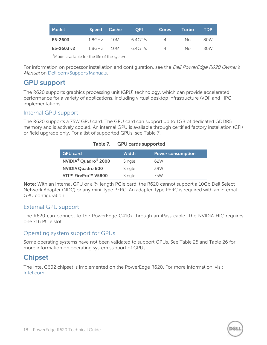| Model      | <b>Speed</b> | Cache | <b>OPI</b> | <b>Cores</b> | Turbo | <b>TDP</b> |
|------------|--------------|-------|------------|--------------|-------|------------|
| E5-2603    | 1.8GHz       | 10M   | $6.4$ GT/s |              | No.   | 80W        |
| E5-2603 v2 | $1.8$ GHz    | 10M   | $6.4$ GT/s |              | No.   | 80W        |
|            |              |       |            |              |       |            |

<sup>1</sup>Model available for the life of the system.

For information on processor installation and configuration, see the *Dell PowerEdge R620 Owner's* Manual on [Dell.com/Support/Manuals.](http://www.dell.com/support/manuals)

# <span id="page-17-0"></span>**GPU support**

The R620 supports graphics processing unit (GPU) technology, which can provide accelerated performance for a variety of applications, including virtual desktop infrastructure (VDI) and HPC implementations.

#### Internal GPU support

<span id="page-17-2"></span>The R620 supports a 75W GPU card. The GPU card can support up to 1GB of dedicated GDDR5 memory and is actively cooled. An internal GPU is available through certified factory installation (CFI) or field upgrade only. For a list of supported GPUs, see [Table 7.](#page-17-2)

#### **Table 7. GPU cards supported**

| <b>GPU card</b>                              | <b>Width</b> | <b>Power consumption</b> |
|----------------------------------------------|--------------|--------------------------|
| NVIDIA <sup>®</sup> Quadro <sup>®</sup> 2000 | Single       | 62W                      |
| <b>NVIDIA Quadro 600</b>                     | Single       | 39W                      |
| ATI™ FirePro™ V5800                          | Single       | 75W                      |

**Note:** With an internal GPU or a 3/4 length PCIe card, the R620 cannot support a 10Gb Dell Select Network Adapter (NDC) or any mini-type PERC. An adapter-type PERC is required with an internal GPU configuration.

#### External GPU support

The R620 can connect to the PowerEdge C410x through an iPass cable. The NVIDIA HIC requires one x16 PCIe slot.

#### Operating system support for GPUs

Some operating systems have not been validated to support GPUs. See [Table 25](#page-40-2) and [Table 26](#page-41-1) for more information on operating system support of GPUs.

# <span id="page-17-1"></span>**Chipset**

The Intel C602 chipset is implemented on the PowerEdge R620. For more information, visit [Intel.com.](http://www.intel.com/)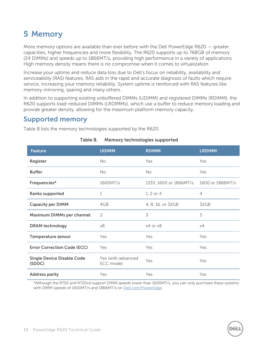# <span id="page-18-0"></span>**5 Memory**

More memory options are available than ever before with the Dell PowerEdge R620  $-$  greater capacities, higher frequencies and more flexibility. The R620 supports up to 768GB of memory (24 DIMMs) and speeds up to 1866MT/s, providing high performance in a variety of applications. High memory density means there is no compromise when it comes to virtualization.

Increase your uptime and reduce data loss due to Dell's focus on reliability, availability and serviceability (RAS) features. RAS aids in the rapid and accurate diagnosis of faults which require service, increasing your memory reliability. System uptime is reinforced with RAS features like memory mirroring, sparing and many others.

In addition to supporting existing unbuffered DIMMs (UDIMM) and registered DIMMs (RDIMM), the R620 supports load-reduced DIMMs (LRDIMMs), which use a buffer to reduce memory loading and provide greater density, allowing for the maximum platform memory capacity.

# <span id="page-18-1"></span>**Supported memory**

<span id="page-18-2"></span>[Table 8](#page-18-2) lists the memory technologies supported by the R620.

| <b>Feature</b>                              | <b>UDIMM</b>                    | <b>RDIMM</b>           | <b>LRDIMM</b>    |
|---------------------------------------------|---------------------------------|------------------------|------------------|
| Register                                    | <b>No</b>                       | Yes                    | Yes              |
| <b>Buffer</b>                               | <b>No</b>                       | <b>No</b>              | Yes              |
| Frequencies*                                | 1600MT/s                        | 1333, 1600 or 1866MT/s | 1600 or 1866MT/s |
| <b>Ranks supported</b>                      | 1                               | 1, 2 or 4              | $\overline{4}$   |
| <b>Capacity per DIMM</b>                    | 4GB                             | 4, 8, 16, or 32GB      | 32GB             |
| Maximum DIMMs per channel                   | 2                               | 3                      | 3                |
| <b>DRAM</b> technology                      | x8                              | x4 or x8               | x4               |
| <b>Temperature sensor</b>                   | Yes                             | Yes                    | Yes              |
| <b>Error Correction Code (ECC)</b>          | Yes                             | Yes                    | Yes              |
| <b>Single Device Disable Code</b><br>(SDDC) | Yes (with advanced<br>ECC mode) | Yes                    | Yes              |
| <b>Address parity</b>                       | Yes                             | Yes                    | Yes              |

#### **Table 8. Memory technologies supported**

\*Although the R720 and R720xd support DIMM speeds lower than 1600MT/s, you can only purchase these systems with DIMM speeds of 1600MT/s and 1866MT/s on [Dell.com/PowerEdge.](http://www.dell.com/poweredge)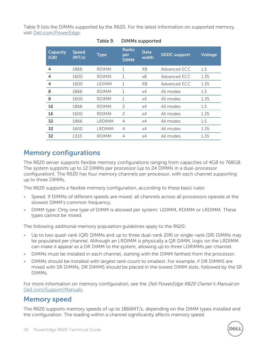<span id="page-19-2"></span>[Table 9](#page-19-2) lists the DIMMs supported by the R620. For the latest information on supported memory, visit [Dell.com/PowerEdge.](http://www.dell.com/poweredge)

| <b>Capacity</b><br>(GB) | <b>Speed</b><br>(MT/s) | <b>Type</b>  | <b>Ranks</b><br>per<br><b>DIMM</b> | <b>Data</b><br>width | <b>SDDC support</b> | <b>Voltage</b> |
|-------------------------|------------------------|--------------|------------------------------------|----------------------|---------------------|----------------|
| 4                       | 1866                   | <b>RDIMM</b> | 1                                  | X8                   | Advanced ECC        | 1.5            |
| 4                       | 1600                   | <b>RDIMM</b> | $\mathbf{1}$                       | x8                   | Advanced ECC        | 1.35           |
| 4                       | 1600                   | <b>UDIMM</b> | 1                                  | X8                   | Advanced ECC        | 1.35           |
| 8                       | 1866                   | <b>RDIMM</b> | 1                                  | x4                   | All modes           | 1.5            |
| 8                       | 1600                   | <b>RDIMM</b> | $\mathbf{1}$                       | x4                   | All modes           | 1.35           |
| 16                      | 1866                   | <b>RDIMM</b> | $\overline{c}$                     | x4                   | All modes           | 1.5            |
| 16                      | 1600                   | <b>RDIMM</b> | $\overline{c}$                     | x4                   | All modes           | 1.35           |
| 32                      | 1866                   | LRDIMM       | $\overline{4}$                     | x4                   | All modes           | 1.5            |
| 32                      | 1600                   | LRDIMM       | 4                                  | x4                   | All modes           | 1.35           |
| 32                      | 1333                   | <b>RDIMM</b> | 4                                  | x4                   | All modes           | 1.35           |

#### **Table 9. DIMMs supported**

### <span id="page-19-0"></span>**Memory configurations**

The R620 server supports flexible memory configurations ranging from capacities of 4GB to 768GB. The system supports up to 12 DIMMs per processor (up to 24 DIMMs in a dual-processor configuration). The R620 has four memory channels per processor, with each channel supporting up to three DIMMs.

The R620 supports a flexible memory configuration, according to these basic rules:

- Speed: If DIMMs of different speeds are mixed, all channels across all processors operate at the slowest DIMM's common frequency.
- DIMM type: Only one type of DIMM is allowed per system: UDIMM, RDIMM or LRDIMM. These types cannot be mixed.

The following additional memory population guidelines apply to the R620:

- Up to two quad-rank (QR) DIMMs and up to three dual-rank (DR) or single-rank (SR) DIMMs may be populated per channel. Although an LRDIMM is physically a QR DIMM, logic on the LRDIMM can make it appear as a DR DIMM to the system, allowing up to three LDRIMMs per channel.
- DIMMs must be installed in each channel, starting with the DIMM farthest from the processor.
- DIMMs should be installed with largest rank count to smallest. For example, if DR DIMMS are mixed with SR DIMMs, DR DIMMS should be placed in the lowest DIMM slots, followed by the SR DIMMs.

For more information on memory configuration, see the *Dell PowerEdge R620 Owner's Manual* on [Dell.com/Support/Manuals.](http://www.dell.com/support/manuals)

### <span id="page-19-1"></span>**Memory speed**

The R620 supports memory speeds of up to 1866MT/s, depending on the DIMM types installed and the configuration. The loading within a channel significantly affects memory speed.

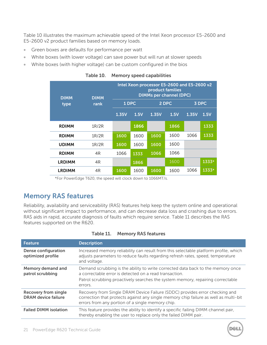[Table 10](#page-20-1) illustrates the maximum achievable speed of the Intel Xeon processor E5-2600 and E5-2600 v2 product families based on memory loads.

- Green boxes are defaults for performance per watt
- White boxes (with lower voltage) can save power but will run at slower speeds
- <span id="page-20-1"></span>White boxes (with higher voltage) can be custom configured in the bios

| <b>DIMM</b>   | <b>DIMM</b> |       |      | Intel Xeon processor E5-2600 and E5-2600 v2<br>product families<br><b>DIMMs per channel (DPC)</b> |      |       |       |
|---------------|-------------|-------|------|---------------------------------------------------------------------------------------------------|------|-------|-------|
| type          | rank        | 1 DPC |      | 2 DPC                                                                                             |      | 3 DPC |       |
|               |             | 1.35V | 1.5V | 1.35V                                                                                             | 1.5V | 1.35V | 1.5V  |
| <b>RDIMM</b>  | 1R/2R       |       | 1866 |                                                                                                   | 1866 |       | 1333  |
| <b>RDIMM</b>  | 1R/2R       | 1600  | 1600 | 1600                                                                                              | 1600 | 1066  | 1333  |
| <b>UDIMM</b>  | 1R/2R       | 1600  | 1600 | 1600                                                                                              | 1600 |       |       |
| <b>RDIMM</b>  | 4R          | 1066  | 1333 | 1066                                                                                              | 1066 |       |       |
| <b>LRDIMM</b> | 4R          |       | 1866 |                                                                                                   | 1600 |       | 1333* |
| <b>LRDIMM</b> | 4R          | 1600  | 1600 | 1600                                                                                              | 1600 | 1066  | 1333* |

**Table 10. Memory speed capabilities**

\*For PowerEdge T620, the speed will clock down to 1066MT/s.

### <span id="page-20-0"></span>**Memory RAS features**

Reliability, availability and serviceability (RAS) features help keep the system online and operational without significant impact to performance, and can decrease data loss and crashing due to errors. RAS aids in rapid, accurate diagnosis of faults which require service. [Table 11](#page-20-2) describes the RAS features supported on the R620.

<span id="page-20-2"></span>

| <b>Feature</b>                                            | <b>Description</b>                                                                                                                                                                                                      |
|-----------------------------------------------------------|-------------------------------------------------------------------------------------------------------------------------------------------------------------------------------------------------------------------------|
| <b>Dense configuration</b><br>optimized profile           | Increased memory reliability can result from this selectable platform profile, which<br>adjusts parameters to reduce faults regarding refresh rates, speed, temperature<br>and voltage.                                 |
| Memory demand and<br>patrol scrubbing                     | Demand scrubbing is the ability to write corrected data back to the memory once<br>a correctable error is detected on a read transaction.                                                                               |
|                                                           | Patrol scrubbing proactively searches the system memory, repairing correctable<br>errors.                                                                                                                               |
| <b>Recovery from single</b><br><b>DRAM</b> device failure | Recovery from Single DRAM Device Failure (SDDC) provides error checking and<br>correction that protects against any single memory chip failure as well as multi-bit<br>errors from any portion of a single memory chip. |
| <b>Failed DIMM isolation</b>                              | This feature provides the ability to identify a specific failing DIMM channel pair,<br>thereby enabling the user to replace only the failed DIMM pair.                                                                  |

#### **Table 11. Memory RAS features**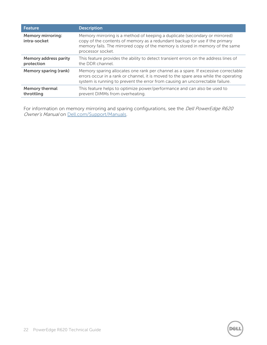| <b>Feature</b>                             | <b>Description</b>                                                                                                                                                                                                                                               |
|--------------------------------------------|------------------------------------------------------------------------------------------------------------------------------------------------------------------------------------------------------------------------------------------------------------------|
| <b>Memory mirroring:</b><br>intra-socket   | Memory mirroring is a method of keeping a duplicate (secondary or mirrored)<br>copy of the contents of memory as a redundant backup for use if the primary<br>memory fails. The mirrored copy of the memory is stored in memory of the same<br>processor socket. |
| <b>Memory address parity</b><br>protection | This feature provides the ability to detect transient errors on the address lines of<br>the DDR channel.                                                                                                                                                         |
| <b>Memory sparing (rank)</b>               | Memory sparing allocates one rank per channel as a spare. If excessive correctable<br>errors occur in a rank or channel, it is moved to the spare area while the operating<br>system is running to prevent the error from causing an uncorrectable failure.      |
| <b>Memory thermal</b><br>throttling        | This feature helps to optimize power/performance and can also be used to<br>prevent DIMMs from overheating.                                                                                                                                                      |

For information on memory mirroring and sparing configurations, see the *Dell PowerEdge R620* Owner's Manual on [Dell.com/Support/Manuals.](http://www.dell.com/support/manuals)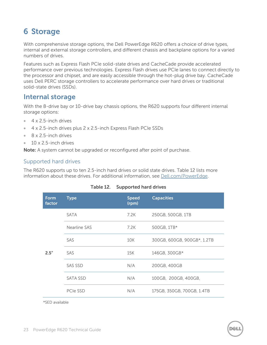# <span id="page-22-0"></span>**6 Storage**

With comprehensive storage options, the Dell PowerEdge R620 offers a choice of drive types, internal and external storage controllers, and different chassis and backplane options for a varied numbers of drives.

Features such as Express Flash PCIe solid-state drives and CacheCade provide accelerated performance over previous technologies. Express Flash drives use PCIe lanes to connect directly to the processor and chipset, and are easily accessible through the hot-plug drive bay. CacheCade uses Dell PERC storage controllers to accelerate performance over hard drives or traditional solid-state drives (SSDs).

### <span id="page-22-1"></span>**Internal storage**

With the 8-drive bay or 10-drive bay chassis options, the R620 supports four different internal storage options:

- 4 x 2.5-inch drives
- $\bullet$  4 x 2.5-inch drives plus 2 x 2.5-inch Express Flash PCIe SSDs
- 8 x 2.5-inch drives
- 10 x 2.5-inch drives

**Note:** A system cannot be upgraded or reconfigured after point of purchase.

#### Supported hard drives

<span id="page-22-2"></span>The R620 supports up to ten 2.5-inch hard drives or solid state drives. [Table 12](#page-22-2) lists more information about these drives. For additional information, see [Dell.com/PowerEdge.](http://dell.com/poweredge)

| <b>Form</b><br>factor | <b>Type</b>  | <b>Speed</b><br>(rpm) | <b>Capacities</b>           |
|-----------------------|--------------|-----------------------|-----------------------------|
|                       | <b>SATA</b>  | 7.2K                  | 250GB, 500GB, 1TB           |
| 2.5''                 | Nearline SAS | 7.2K                  | 500GB, 1TB*                 |
|                       | <b>SAS</b>   | 10K                   | 300GB, 600GB, 900GB*, 1.2TB |
|                       | SAS          | 15K                   | 146GB, 300GB*               |
|                       | SAS SSD      | N/A                   | 200GB, 400GB                |
|                       | SATA SSD     | N/A                   | 100GB, 200GB, 400GB,        |
|                       | PCIe SSD     | N/A                   | 175GB, 350GB, 700GB, 1.4TB  |

#### **Table 12. Supported hard drives**

\*SED available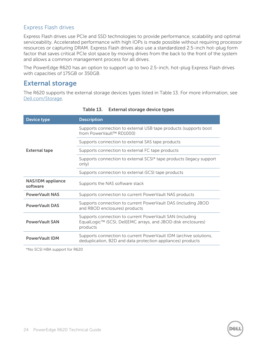#### Express Flash drives

Express Flash drives use PCIe and SSD technologies to provide performance, scalability and optimal serviceability. Accelerated performance with high IOPs is made possible without requiring processor resources or capturing DRAM. Express Flash drives also use a standardized 2.5-inch hot-plug form factor that saves critical PCIe slot space by moving drives from the back to the front of the system and allows a common management process for all drives.

The PowerEdge R620 has an option to support up to two 2.5-inch, hot-plug Express Flash drives with capacities of 175GB or 350GB.

# <span id="page-23-0"></span>**External storage**

The R620 supports the external storage devices types listed in [Table 13.](#page-23-1) For more information, see [Dell.com/Storage.](http://www.dell.com/storage)

<span id="page-23-1"></span>

| <b>Device type</b>                   | <b>Description</b>                                                                                                                    |  |  |  |  |
|--------------------------------------|---------------------------------------------------------------------------------------------------------------------------------------|--|--|--|--|
|                                      | Supports connection to external USB tape products (supports boot<br>from PowerVault™ RD1000)                                          |  |  |  |  |
|                                      | Supports connection to external SAS tape products                                                                                     |  |  |  |  |
| <b>External tape</b>                 | Supports connection to external FC tape products                                                                                      |  |  |  |  |
|                                      | Supports connection to external SCSI* tape products (legacy support<br>only)                                                          |  |  |  |  |
|                                      | Supports connection to external iSCSI tape products                                                                                   |  |  |  |  |
| <b>NAS/IDM</b> appliance<br>software | Supports the NAS software stack                                                                                                       |  |  |  |  |
| <b>PowerVault NAS</b>                | Supports connection to current PowerVault NAS products                                                                                |  |  |  |  |
| <b>PowerVault DAS</b>                | Supports connection to current PowerVault DAS (including JBOD<br>and RBOD enclosures) products                                        |  |  |  |  |
| <b>PowerVault SAN</b>                | Supports connection to current PowerVault SAN (including<br>EqualLogic™ iSCSI, Dell EMC arrays, and JBOD disk enclosures)<br>products |  |  |  |  |
| <b>PowerVault IDM</b>                | Supports connection to current PowerVault IDM (archive solutions,<br>deduplication, B2D and data protection appliances) products      |  |  |  |  |

**Table 13. External storage device types**

\*No SCSI HBA support for R620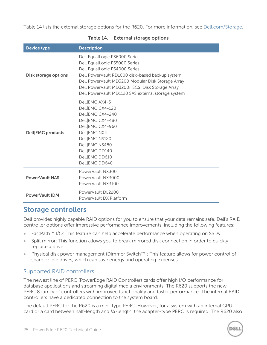<span id="page-24-1"></span>[Table 14](#page-24-1) lists the external storage options for the R620. For more information, see [Dell.com/Storage.](http://www.dell.com/storage)

| <b>Device type</b>          | <b>Description</b>                                                                                                                                                                                                                                                                                                |
|-----------------------------|-------------------------------------------------------------------------------------------------------------------------------------------------------------------------------------------------------------------------------------------------------------------------------------------------------------------|
| <b>Disk storage options</b> | Dell EqualLogic PS6000 Series<br>Dell EqualLogic PS5000 Series<br>Dell EqualLogic PS4000 Series<br>Dell PowerVault RD1000 disk-based backup system<br>Dell PowerVault MD3200 Modular Disk Storage Array<br>Dell PowerVault MD3200i iSCSI Disk Storage Array<br>Dell PowerVault MD1120 SAS external storage system |
| Dell EMC products           | Dell EMC AX4-5<br>Dell EMC CX4-120<br>Dell EMC CX4-240<br>Dell EMC CX4-480<br>Dell EMC CX4-960<br>Dell EMC NX4<br>Dell EMC NS120<br>Dell EMC NS480<br>Dell EMC DD140<br>Dell EMC DD610<br>Dell EMC DD640                                                                                                          |
| <b>PowerVault NAS</b>       | PowerVault NX300<br>PowerVault NX3000<br>PowerVault NX3100                                                                                                                                                                                                                                                        |
| <b>PowerVault IDM</b>       | PowerVault DL2200<br>PowerVault DX Platform                                                                                                                                                                                                                                                                       |

#### **Table 14. External storage options**

### <span id="page-24-0"></span>**Storage controllers**

Dell provides highly capable RAID options for you to ensure that your data remains safe. Dell's RAID controller options offer impressive performance improvements, including the following features:

- FastPath™ I/O: This feature can help accelerate performance when operating on SSDs.
- Split mirror: This function allows you to break mirrored disk connection in order to quickly replace a drive.
- Physical disk power management (Dimmer Switch™): This feature allows for power control of spare or idle drives, which can save energy and operating expenses.

#### Supported RAID controllers

The newest line of PERC (PowerEdge RAID Controller) cards offer high I/O performance for database applications and streaming digital media environments. The R620 supports the new PERC 8 family of controllers with improved functionality and faster performance. The internal RAID controllers have a dedicated connection to the system board.

The default PERC for the R620 is a mini-type PERC. However, for a system with an internal GPU card or a card between half-length and 3/4-length, the adapter-type PERC is required. The R620 also

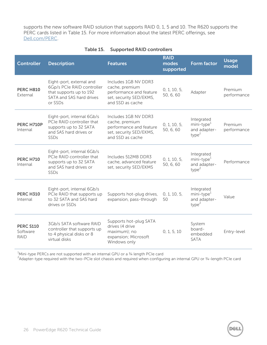supports the new software RAID solution that supports RAID 0, 1, 5 and 10. The R620 supports the PERC cards listed in [Table 15.](#page-25-0) For more information about the latest PERC offerings, see [Dell.com/PERC.](http://www.dell.com/perc)

<span id="page-25-0"></span>

| <b>Controller</b>                           | <b>Description</b>                                                                                                       | <b>Features</b>                                                                                                  | <b>RAID</b><br>modes<br>supported | <b>Form factor</b>                                                        | <b>Usage</b><br>model  |
|---------------------------------------------|--------------------------------------------------------------------------------------------------------------------------|------------------------------------------------------------------------------------------------------------------|-----------------------------------|---------------------------------------------------------------------------|------------------------|
| <b>PERC H810</b><br>External                | Eight-port, external and<br>6Gp/s PCIe RAID controller<br>that supports up to 192<br>SATA and SAS hard drives<br>or SSDs | Includes 1GB NV DDR3<br>cache, premium<br>performance and feature<br>set, security SED/EKMS,<br>and SSD as cache | 0, 1, 10, 5,<br>50, 6, 60         | Adapter                                                                   | Premium<br>performance |
| PERC H710P<br>Internal                      | Eight-port, internal 6Gb/s<br>PCIe RAID controller that<br>supports up to 32 SATA<br>and SAS hard drives or<br>SSDs      | Includes 1GB NV DDR3<br>cache, premium<br>performance and feature<br>set, security SED/EKMS,<br>and SSD as cache | 0, 1, 10, 5,<br>50, 6, 60         | Integrated<br>$min$ -type $1$<br>and adapter-<br>type <sup>2</sup>        | Premium<br>performance |
| <b>PERC H710</b><br>Internal                | Eight-port, internal 6Gb/s<br>PCIe RAID controller that<br>supports up to 32 SATA<br>and SAS hard drives or<br>SSDs      | Includes 512MB DDR3<br>cache, advanced feature<br>set, security SED/EKMS                                         | 0, 1, 10, 5,<br>50, 6, 60         | Integrated<br>mini-type <sup>1</sup><br>and adapter-<br>type <sup>2</sup> | Performance            |
| <b>PERC H310</b><br>Internal                | Eight-port, internal 6Gb/s<br>PCIe RAID that supports up<br>to 32 SATA and SAS hard<br>drives or SSDs                    | Supports hot-plug drives,<br>expansion, pass-through                                                             | 0, 1, 10, 5,<br>50                | Integrated<br>$min$ -type $1$<br>and adapter-<br>type <sup>2</sup>        | Value                  |
| <b>PERC S110</b><br>Software<br><b>RAID</b> | 3Gb/s SATA software RAID<br>controller that supports up<br>to 4 physical disks or 8<br>virtual disks                     | Supports hot-plug SATA<br>drives (4 drive<br>maximum); no<br>expansion; Microsoft<br>Windows only                | 0, 1, 5, 10                       | System<br>board-<br>embedded<br><b>SATA</b>                               | Entry-level            |

#### **Table 15. Supported RAID controllers**

 $1$ Mini-type PERCs are not supported with an internal GPU or a  $\frac{3}{4}$  length PCIe card

 $^2$ Adapter-type required with the two-PCIe slot chassis and required when configuring an internal GPU or 3/4-length PCIe card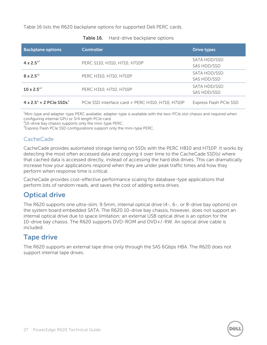<span id="page-26-2"></span>[Table 16](#page-26-2) lists the R620 backplane options for supported Dell PERC cards.

| <b>Backplane options</b>                   | <b>Controller</b>                                | <b>Drive types</b>          |
|--------------------------------------------|--------------------------------------------------|-----------------------------|
| 4 x 2.5 $^{\prime\prime}$ <sup>1</sup>     | PERC S110, H310, H710, H710P                     | SATA HDD/SSD<br>SAS HDD/SSD |
| $8 \times 2.5^{4}$                         | PERC H310, H710, H710P                           | SATA HDD/SSD<br>SAS HDD/SSD |
| $10 \times 2.5$ <sup>2</sup>               | PERC H310, H710, H710P                           | SATA HDD/SSD<br>SAS HDD/SSD |
| $4 \times 2.5" + 2$ PCIe SSDs <sup>3</sup> | PCIe SSD interface card + PERC H310, H710, H710P | Express Flash PCIe SSD      |

| Table 16. | Hard-drive backplane options |  |
|-----------|------------------------------|--|
|-----------|------------------------------|--|

 $1$ Mini-type and adapter-type PERC available; adapter-type is available with the two-PCIe slot chassis and required when configuring internal GPU or 3/4 length PCIe card.

 $210$ -drive bay chassis supports only the mini-type PERC.

<sup>3</sup> Express Flash PCIe SSD configurations support only the mini-type PERC.

#### CacheCade

CacheCade provides automated storage tiering on SSDs with the PERC H810 and H710P. It works by detecting the most often accessed data and copying it over time to the CacheCade SSD(s) where that cached data is accessed directly, instead of accessing the hard disk drives. This can dramatically increase how your applications respond when they are under peak traffic times and how they perform when response time is critical.

CacheCade provides cost-effective performance scaling for database-type applications that perform lots of random reads, and saves the cost of adding extra drives.

# <span id="page-26-0"></span>**Optical drive**

The R620 supports one ultra-slim, 9.5mm, internal optical drive (4-, 6-, or 8-drive bay options) on the system board embedded SATA. The R620 10-drive bay chassis, however, does not support an internal optical drive due to space limitation; an external USB optical drive is an option for the 10-drive bay chassis. The R620 supports DVD-ROM and DVD+/-RW. An optical drive cable is included.

# <span id="page-26-1"></span>**Tape drive**

The R620 supports an external tape drive only through the SAS 6Gbps HBA. The R620 does not support internal tape drives.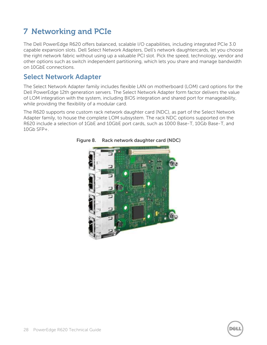# <span id="page-27-0"></span>**7 Networking and PCIe**

The Dell PowerEdge R620 offers balanced, scalable I/O capabilities, including integrated PCIe 3.0 capable expansion slots. Dell Select Network Adapters, Dell's network daughtercards, let you choose the right network fabric without using up a valuable PCI slot. Pick the speed, technology, vendor and other options such as switch independent partitioning, which lets you share and manage bandwidth on 10GbE connections.

### <span id="page-27-1"></span>**Select Network Adapter**

The Select Network Adapter family includes flexible LAN on motherboard (LOM) card options for the Dell PowerEdge 12th generation servers. The Select Network Adapter form factor delivers the value of LOM integration with the system, including BIOS integration and shared port for manageability, while providing the flexibility of a modular card.

<span id="page-27-2"></span>The R620 supports one custom rack network daughter card (NDC), as part of the Select Network Adapter family, to house the complete LOM subsystem. The rack NDC options supported on the R620 include a selection of 1GbE and 10GbE port cards, such as 1000 Base-T, 10Gb Base-T, and 10Gb SFP+.



**Figure 8. Rack network daughter card (NDC)**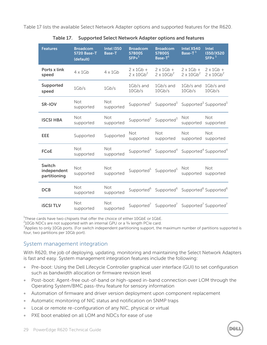<span id="page-28-0"></span>[Table 17](#page-28-0) lists the available Select Network Adapter options and supported features for the R620.

| <b>Features</b>                       | <b>Broadcom</b><br><b>5720 Base-T</b><br>(default) | <b>Intel I350</b><br><b>Base-T</b> | <b>Broadcom</b><br>57800S<br>$SFP+^1$              | <b>Broadcom</b><br>57800S<br>Base- $T^1$                                                    | <b>Intel X540</b><br>Base- $T^1$                   | <b>Intel</b><br>I350/X520<br>$SFP+$ <sup>1</sup>   |
|---------------------------------------|----------------------------------------------------|------------------------------------|----------------------------------------------------|---------------------------------------------------------------------------------------------|----------------------------------------------------|----------------------------------------------------|
| Ports x link<br>speed                 | $4 \times 1$ Gb                                    | $4 \times 1$ Gb                    | $2 \times 1$ Gb +<br>$2 \times 10$ Gb <sup>2</sup> | $2 \times 1$ Gb +<br>$2 \times 10$ Gb <sup>2</sup>                                          | $2 \times 1$ Gb +<br>$2 \times 10$ Gb <sup>2</sup> | $2 \times 1$ Gb +<br>$2 \times 10$ Gb <sup>2</sup> |
| <b>Supported</b><br>speed             | 1Gb/s                                              | 1Gb/s                              | 1Gb/s and<br>10Gb/s                                | 1Gb/s and<br>10Gb/s                                                                         | $1Gb/s$ and<br>10Gb/s                              | 1Gb/s and<br>10Gb/s                                |
| <b>SR-IOV</b>                         | Not<br>supported                                   | Not<br>supported                   |                                                    | Supported <sup>3</sup> Supported <sup>3</sup> Supported <sup>3</sup> Supported <sup>3</sup> |                                                    |                                                    |
| <b>ISCSI HBA</b>                      | Not<br>supported                                   | Not<br>supported                   |                                                    | Supported <sup>3</sup> Supported <sup>3</sup>                                               | Not<br>supported                                   | <b>Not</b><br>supported                            |
| EEE                                   | Supported                                          | Supported                          | <b>Not</b><br>supported                            | <b>Not</b><br>supported                                                                     | Not<br>supported                                   | Not<br>supported                                   |
| <b>FCoE</b>                           | Not<br>supported                                   | <b>Not</b><br>supported            |                                                    | Supported <sup>4</sup> Supported <sup>4</sup> Supported <sup>4</sup> Supported <sup>4</sup> |                                                    |                                                    |
| Switch<br>independent<br>partitioning | <b>Not</b><br>supported                            | <b>Not</b><br>supported            |                                                    | Supported <sup>5</sup> Supported <sup>5</sup>                                               | <b>Not</b><br>supported                            | <b>Not</b><br>supported                            |
| <b>DCB</b>                            | Not<br>supported                                   | <b>Not</b><br>supported            |                                                    | Supported <sup>6</sup> Supported <sup>6</sup> Supported <sup>6</sup> Supported <sup>6</sup> |                                                    |                                                    |
| <b>ISCSI TLV</b>                      | Not<br>supported                                   | <b>Not</b><br>supported            |                                                    | Supported <sup>7</sup> Supported <sup>7</sup> Supported <sup>7</sup> Supported <sup>7</sup> |                                                    |                                                    |

**Table 17. Supported Select Network Adapter options and features**

 $^{\rm 1}$ These cards have two chipsets that offer the choice of either 10GbE or 1GbE.

 $^{2}$ 10Gb NDCs are not supported with an internal GPU or a  $^{3}/_{4}$  length PCIe card.

 $3$ Applies to only 10Gb ports. (For switch independent partitioning support, the maximum number of partitions supported is four, two partitions per 10Gb port).

#### System management integration

With R620, the job of deploying, updating, monitoring and maintaining the Select Network Adapters is fast and easy. System management integration features include the following:

- Pre-boot: Using the Dell Lifecycle Controller graphical user interface (GUI) to set configuration such as bandwidth allocation or firmware revision level
- Post-boot: Agent-free out-of-band or high-speed in-band connection over LOM through the Operating System/BMC pass-thru feature for sensory information
- Automation of firmware and driver version deployment upon component replacement
- Automatic monitoring of NIC status and notification on SNMP traps
- Local or remote re-configuration of any NIC, physical or virtual
- PXE boot enabled on all LOM and NDCs for ease of use

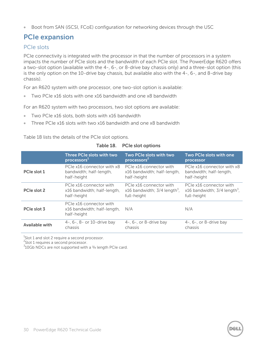Boot from SAN (iSCSI, FCoE) configuration for networking devices through the USC

# <span id="page-29-0"></span>**PCIe expansion**

#### PCIe slots

PCIe connectivity is integrated with the processor in that the number of processors in a system impacts the number of PCIe slots and the bandwidth of each PCIe slot. The PowerEdge R620 offers a two-slot option (available with the 4-, 6-, or 8-drive bay chassis only) and a three-slot option (this is the only option on the 10-drive bay chassis, but available also with the 4-, 6-, and 8-drive bay chassis).

For an R620 system with one processor, one two-slot option is available:

Two PCIe x16 slots with one x16 bandwidth and one x8 bandwidth

For an R620 system with two processors, two slot options are available:

- Two PCIe x16 slots, both slots with x16 bandwidth
- Three PCIe x16 slots with two x16 bandwidth and one x8 bandwidth

[Table 18](#page-29-1) lists the details of the PCIe slot options.

<span id="page-29-1"></span>

|                       | Three PCIe slots with two                                             | Two PCIe slots with two                    | Two PCIe slots with one                    |
|-----------------------|-----------------------------------------------------------------------|--------------------------------------------|--------------------------------------------|
|                       | processors <sup>+</sup>                                               | processors <sup>2</sup>                    | processor                                  |
| PCIe slot 1           | PCIe x16 connector with x8                                            | PCIe x16 connector with                    | PCIe x16 connector with x8                 |
|                       | bandwidth; half-length,                                               | x16 bandwidth; half-length,                | bandwidth; half-length,                    |
|                       | half-height                                                           | half-height                                | half-height                                |
| PCIe slot 2           | PCIe x16 connector with                                               | PCIe x16 connector with                    | PCIe x16 connector with                    |
|                       | x16 bandwidth; half-length,                                           | x16 bandwidth; $3/4$ length <sup>3</sup> , | x16 bandwidth; $3/4$ length <sup>3</sup> , |
|                       | half-height                                                           | full-height                                | full-height                                |
| PCIe slot 3           | PCIe x16 connector with<br>x16 bandwidth; half-length,<br>half-height | N/A                                        | N/A                                        |
| <b>Available with</b> | 4-, 6-, 8- or 10-drive bay                                            | $4-$ , 6-, or 8-drive bay                  | $4-$ , 6-, or 8-drive bay                  |
|                       | chassis                                                               | chassis                                    | chassis                                    |

**Table 18. PCIe slot options**

 $^{1}$ Slot 1 and slot 2 require a second processor.

<sup>2</sup>Slot 1 requires a second processor.

 $310$ Gb NDCs are not supported with a  $3/4$  length PCIe card.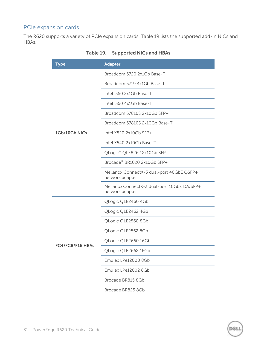### PCIe expansion cards

<span id="page-30-0"></span>The R620 supports a variety of PCIe expansion cards. [Table 19](#page-30-0) lists the supported add-in NICs and HBAs.

| <b>Type</b>      | <b>Adapter</b>                                                 |  |  |  |  |  |
|------------------|----------------------------------------------------------------|--|--|--|--|--|
|                  | Broadcom 5720 2x1Gb Base-T                                     |  |  |  |  |  |
|                  | Broadcom 5719 4x1Gb Base-T                                     |  |  |  |  |  |
|                  | Intel I350 2x1Gb Base-T                                        |  |  |  |  |  |
|                  | Intel I350 4x1Gb Base-T                                        |  |  |  |  |  |
|                  | Broadcom 57810S 2x10Gb SFP+                                    |  |  |  |  |  |
|                  | Broadcom 57810S 2x10Gb Base-T                                  |  |  |  |  |  |
| 1Gb/10Gb NICs    | Intel X520 2x10Gb SFP+                                         |  |  |  |  |  |
|                  | Intel X540 2x10Gb Base-T                                       |  |  |  |  |  |
|                  | QLogic® QLE8262 2x10Gb SFP+                                    |  |  |  |  |  |
|                  | Brocade <sup>®</sup> BR1020 2x10Gb SFP+                        |  |  |  |  |  |
|                  | Mellanox ConnectX-3 dual-port 40GbE QSFP+<br>network adapter   |  |  |  |  |  |
|                  | Mellanox ConnectX-3 dual-port 10GbE DA/SFP+<br>network adapter |  |  |  |  |  |
|                  | QLogic QLE2460 4Gb                                             |  |  |  |  |  |
|                  | QLogic QLE2462 4Gb                                             |  |  |  |  |  |
|                  | QLogic QLE2560 8Gb                                             |  |  |  |  |  |
|                  | QLogic QLE2562 8Gb                                             |  |  |  |  |  |
|                  | QLogic QLE2660 16Gb                                            |  |  |  |  |  |
| FC4/FC8/F16 HBAs | QLogic QLE2662 16Gb                                            |  |  |  |  |  |
|                  | Emulex LPe12000 8Gb                                            |  |  |  |  |  |
|                  | Emulex LPe12002 8Gb                                            |  |  |  |  |  |
|                  | Brocade BR815 8Gb                                              |  |  |  |  |  |
|                  | Brocade BR825 8Gb                                              |  |  |  |  |  |

**Table 19. Supported NICs and HBAs**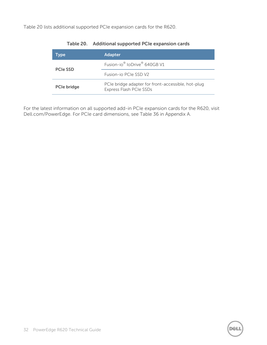<span id="page-31-0"></span>[Table 20](#page-31-0) lists additional supported PCIe expansion cards for the R620.

| Type               | <b>Adapter</b>                                                                |
|--------------------|-------------------------------------------------------------------------------|
| <b>PCIe SSD</b>    | Fusion-io <sup>®</sup> IoDrive <sup>®</sup> 640GB V1                          |
|                    | Fusion-io PCIe SSD V2                                                         |
| <b>PCIe bridge</b> | PCIe bridge adapter for front-accessible, hot-plug<br>Express Flash PCIe SSDs |

XX

#### **Table 20. Additional supported PCIe expansion cards**

For the latest information on all supported add-in PCIe expansion cards for the R620, visit Dell.com/PowerEdge. For PCIe card dimensions, see [Table 36](#page-53-4) in Appendix A.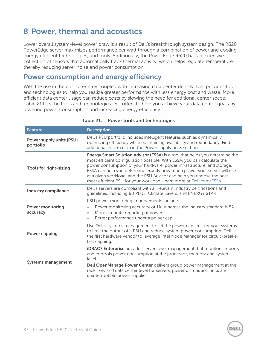# <span id="page-32-0"></span>**8 Power, thermal and acoustics**

Lower overall system-level power draw is a result of Dell's breakthrough system design. The R620 PowerEdge server maximizes performance per watt through a combination of power and cooling, energy efficient technologies, and tools. Additionally, the PowerEdge R620 has an extensive collection of sensors that automatically track thermal activity, which helps regulate temperature thereby reducing server noise and power consumption.

### <span id="page-32-1"></span>**Power consumption and energy efficiency**

With the rise in the cost of energy coupled with increasing data center density, Dell provides tools and technologies to help you realize greater performance with less energy cost and waste. More efficient data center usage can reduce costs by slowing the need for additional center space. [Table 21](#page-32-2) lists the tools and technologies Dell offers to help you achieve your data center goals by lowering power consumption and increasing energy efficiency.

<span id="page-32-2"></span>

| <b>Feature</b>                               | <b>Description</b>                                                                                                                                                                                                                                                                                                                                                                                                                                                 |
|----------------------------------------------|--------------------------------------------------------------------------------------------------------------------------------------------------------------------------------------------------------------------------------------------------------------------------------------------------------------------------------------------------------------------------------------------------------------------------------------------------------------------|
| <b>Power supply units (PSU)</b><br>portfolio | Dell's PSU portfolio includes intelligent features such as dynamically<br>optimizing efficiency while maintaining availability and redundancy. Find<br>additional information in the Power supply units section.                                                                                                                                                                                                                                                   |
| <b>Tools for right-sizing</b>                | <b>Energy Smart Solution Advisor (ESSA)</b> is a tool that helps you determine the<br>most efficient configuration possible. With ESSA, you can calculate the<br>power consumption of your hardware, power infrastructure, and storage.<br>ESSA can help you determine exactly how much power your server will use<br>at a given workload, and the PSU Advisor can help you choose the best,<br>most efficient PSU for your workload. Learn more at Dell.com/ESSA. |
| <b>Industry compliance</b>                   | Dell's servers are compliant with all relevant industry certifications and<br>guidelines, including 80 PLUS, Climate Savers, and ENERGY STAR.                                                                                                                                                                                                                                                                                                                      |
| <b>Power monitoring</b><br>accuracy          | PSU power monitoring improvements include:<br>Power monitoring accuracy of 1%, whereas the industry standard is 5%<br>$\bullet$<br>More accurate reporting of power<br>$\bullet$<br>Better performance under a power cap<br>$\bullet$                                                                                                                                                                                                                              |
| <b>Power capping</b>                         | Use Dell's systems management to set the power cap limit for your systems<br>to limit the output of a PSU and reduce system power consumption. Dell is<br>the first hardware vendor to leverage Intel Node Manager for circuit-breaker<br>fast capping.                                                                                                                                                                                                            |
| <b>Systems management</b>                    | <b>iDRAC7</b> Enterprise provides server-level management that monitors, reports<br>and controls power consumption at the processor, memory and system<br>level.<br>Dell OpenManage Power Center delivers group power management at the<br>rack, row and data center level for servers, power distribution units and<br>uninterruptible power supplies.                                                                                                            |

#### **Table 21. Power tools and technologies**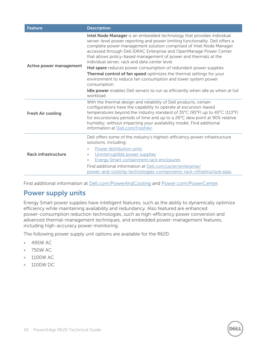| <b>Feature</b>             | <b>Description</b>                                                                                                                                                                                                                                                                                                                                                                                                                                                                                                                                                  |  |  |  |  |
|----------------------------|---------------------------------------------------------------------------------------------------------------------------------------------------------------------------------------------------------------------------------------------------------------------------------------------------------------------------------------------------------------------------------------------------------------------------------------------------------------------------------------------------------------------------------------------------------------------|--|--|--|--|
| Active power management    | Intel Node Manager is an embedded technology that provides individual<br>server-level power reporting and power limiting functionality. Dell offers a<br>complete power management solution comprised of Intel Node Manager<br>accessed through Dell iDRAC Enterprise and OpenManage Power Center<br>that allows policy-based management of power and thermals at the<br>individual server, rack and data center level.<br>Hot spare reduces power consumption of redundant power supplies.<br>Thermal control of fan speed optimizes the thermal settings for your |  |  |  |  |
|                            | environment to reduce fan consumption and lower system power<br>consumption.                                                                                                                                                                                                                                                                                                                                                                                                                                                                                        |  |  |  |  |
|                            | Idle power enables Dell servers to run as efficiently when idle as when at full<br>workload.                                                                                                                                                                                                                                                                                                                                                                                                                                                                        |  |  |  |  |
| <b>Fresh Air cooling</b>   | With the thermal design and reliability of Dell products, certain<br>configurations have the capability to operate at excursion-based<br>temperatures beyond the industry standard of 35°C (95°F) up to 45°C (113°F)<br>for excursionary periods of time and up to a 26°C dew point at 90% relative<br>humidity; without impacting your availability model. Find additional<br>information at Dell.com/FreshAir.                                                                                                                                                    |  |  |  |  |
| <b>Rack infrastructure</b> | Dell offers some of the industry's highest-efficiency power infrastructure<br>solutions, including:<br>Power distribution units<br>$\qquad \qquad \bullet$<br>Uninterruptible power supplies<br>$\bullet$<br><b>Energy Smart containment rack enclosures</b><br>$\bullet$                                                                                                                                                                                                                                                                                           |  |  |  |  |
|                            | Find additional information at Dell.com/us/en/enterprise/<br>power-and-cooling-technologies-components-rack-infrastructure.aspx.                                                                                                                                                                                                                                                                                                                                                                                                                                    |  |  |  |  |

Find additional information at [Dell.com/PowerAndCooling](http://content.dell.com/us/en/enterprise/power-and-cooling-technologies.aspx?%7Eck=mn%0D) and [Power.com/PowerCenter.](http://dell.com/powercenter)

# <span id="page-33-0"></span>**Power supply units**

Energy Smart power supplies have intelligent features, such as the ability to dynamically optimize efficiency while maintaining availability and redundancy. Also featured are enhanced power-consumption reduction technologies, such as high-efficiency power conversion and advanced thermal-management techniques, and embedded power-management features, including high-accuracy power monitoring.

The following power supply unit options are available for the R620:

- 495W AC
- 750W AC
- 1100W AC
- 1100W DC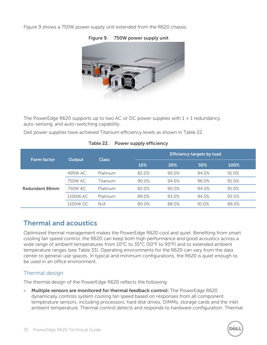<span id="page-34-2"></span>[Figure 9](#page-34-2) shows a 750W power supply unit extended from the R620 chassis.



**Figure 9. 750W power supply unit**

The PowerEdge R620 supports up to two AC or DC power supplies with  $1 + 1$  redundancy, auto-sensing, and auto-switching capability.

<span id="page-34-1"></span>Dell power supplies have achieved Titanium efficiency levels as shown in [Table 22.](#page-34-1)

| Table 22. Power supply efficiency |  |
|-----------------------------------|--|
|                                   |  |

| <b>Form factor</b>    | <b>Output</b> | <b>Class</b> |       | <b>Efficiency targets by load</b> |        |       |  |  |
|-----------------------|---------------|--------------|-------|-----------------------------------|--------|-------|--|--|
|                       |               |              | 10%   | 20%                               | $50\%$ | 100%  |  |  |
| <b>Redundant 86mm</b> | 495W AC       | Platinum     | 82.0% | 90.0%                             | 94.0%  | 91.0% |  |  |
|                       | 750W AC       | Titanium     | 90.0% | 94.0%                             | 96.0%  | 91.0% |  |  |
|                       | 750W AC       | Platinum     | 82.0% | 90.0%                             | 94.0%  | 91.0% |  |  |
|                       | 1100W AC      | Platinum     | 89.0% | 93.0%                             | 94.5%  | 92.0% |  |  |
|                       | 1100W DC      | N/A          | 80.0% | 88.0%                             | 91.0%  | 88.0% |  |  |

# <span id="page-34-0"></span>**Thermal and acoustics**

Optimized thermal management makes the PowerEdge R620 cool and quiet. Benefiting from smart cooling fan speed control, the R620 can keep both high performance and good acoustics across a wide range of ambient temperatures from 10°C to 35°C (50°F to 95°F) and to extended ambient temperature ranges (see [Table 33\)](#page-51-3). Operating environments for the R620 can vary from the data center to general-use spaces. In typical and minimum configurations, the R620 is quiet enough to be used in an office environment.

#### Thermal design

The thermal design of the PowerEdge R620 reflects the following:

 **Multiple sensors are monitored for thermal feedback control:** The PowerEdge R620 dynamically controls system cooling fan speed based on responses from all component temperature sensors, including processors, hard disk drives, DIMMs, storage cards and the inlet ambient temperature. Thermal control detects and responds to hardware configuration. Thermal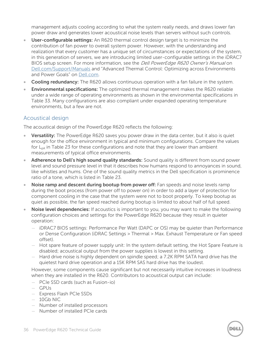management adjusts cooling according to what the system really needs, and draws lower fan power draw and generates lower acoustical noise levels than servers without such controls.

- **User-configurable settings:** An R620 thermal control design target is to minimize the contribution of fan power to overall system power. However, with the understanding and realization that every customer has a unique set of circumstances or expectations of the system, in this generation of servers, we are introducing limited user-configurable settings in the iDRAC7 BIOS setup screen. For more information, see the *Dell PowerEdge R620 Owner's Manual* on [Dell.com/Support/Manuals](http://www.dell.com/support/manuals) and "Advanced Thermal Control: Optimizing across Environments and Power Goals" on [Dell.com.](http://www.dell.com/)
- **Cooling redundancy:** The R620 allows continuous operation with a fan failure in the system.
- **Environmental specifications:** The optimized thermal management makes the R620 reliable under a wide range of operating environments as shown in the environmental specifications in [Table 33.](#page-51-3) Many configurations are also compliant under expanded operating temperature environments, but a few are not.

#### Acoustical design

The acoustical design of the PowerEdge R620 reflects the following:

- **Versatility:** The PowerEdge R620 saves you power draw in the data center, but it also is quiet enough for the office environment in typical and minimum configurations. Compare the values for  $L_{nA}$  in [Table 23](#page-36-0) for these configurations and note that they are lower than ambient measurements of typical office environments.
- **Adherence to Dell's high sound quality standards:** Sound quality is different from sound power level and sound pressure level in that it describes how humans respond to annoyances in sound, like whistles and hums. One of the sound quality metrics in the Dell specification is prominence ratio of a tone, which is listed in [Table 23.](#page-36-0)
- **Noise ramp and descent during bootup from power off:** Fan speeds and noise levels ramp during the boot process (from power off to power on) in order to add a layer of protection for component cooling in the case that the system were not to boot properly. To keep bootup as quiet as possible, the fan speed reached during bootup is limited to about half of full speed.
- **Noise level dependencies:** If acoustics is important to you, you may want to make the following configuration choices and settings for the PowerEdge R620 because they result in quieter operation:
	- iDRAC7 BIOS settings: Performance Per Watt (DAPC or OS) may be quieter than Performance or Dense Configuration (iDRAC Settings > Thermal > Max. Exhaust Temperature or Fan speed offset).
	- Hot spare feature of power supply unit: In the system default setting, the Hot Spare Feature is disabled; acoustical output from the power supplies is lowest in this setting.
	- Hard drive noise is highly dependent on spindle speed; a 7.2K RPM SATA hard drive has the quietest hard drive operation and a 15K RPM SAS hard drive has the loudest.

However, some components cause significant but not necessarily intuitive increases in loudness when they are installed in the R620. Contributors to acoustical output can include:

- PCIe SSD cards (such as Fusion-io)
- GPUs
- Express Flash PCIe SSDs
- 10Gb NIC
- Number of installed processors
- Number of installed PCIe cards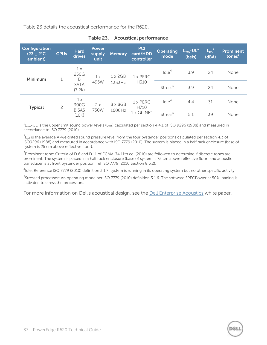<span id="page-36-0"></span>[Table 23](#page-36-0) details the acoustical performance for the R620.

| Configuration<br>$(23 + 2^{\circ}C)$<br>ambient) | <b>CPUs</b>                                           | <b>Hard</b><br>drives                    | <b>Power</b><br>supply<br>unit | <b>Memory</b>            | <b>PCI</b><br>card/HDD<br>controller | <b>Operating</b><br>mode | $L_{WA}$ -UL <sup>1</sup><br>(bels) | $L_{\rm pA}^2$<br>(dBA) | <b>Prominent</b><br>tones <sup>3</sup> |
|--------------------------------------------------|-------------------------------------------------------|------------------------------------------|--------------------------------|--------------------------|--------------------------------------|--------------------------|-------------------------------------|-------------------------|----------------------------------------|
| Minimum<br>1                                     |                                                       | 1x<br>250G<br>B<br><b>SATA</b><br>(7.2K) | 1x                             | $1 \times 2GB$<br>1333Hz | $1 \times$ PERC<br>H310              | $I$ dle $4$              | 3.9                                 | 24                      | None                                   |
|                                                  |                                                       |                                          | 495W                           |                          |                                      | Stress <sup>5</sup>      | 3.9                                 | 24                      | None                                   |
| <b>Typical</b>                                   | 4x<br>300G<br>$\overline{c}$<br><b>B SAS</b><br>(10K) | 2x                                       | 8 x 8 G B                      | $1 \times$ PERC<br>H710  | $I$ dle $4$                          | 4.4                      | 31                                  | None                    |                                        |
|                                                  |                                                       |                                          | 750W                           | 1600Hz                   | $1 \times$ Gb NIC                    | Stress <sup>5</sup>      | 5.1                                 | 39                      | None                                   |

#### **Table 23. Acoustical performance**

 $^1$ L<sub>WA</sub>-UL is the upper limit sound power levels (L<sub>WA</sub>) calculated per section 4.4.1 of ISO 9296 (1988) and measured in accordance to ISO 7779 (2010).

 $^2$ L<sub>pA</sub> is the average A-weighted sound pressure level from the four bystander positions calculated per section 4.3 of ISO9296 (1988) and measured in accordance with ISO 7779 (2010). The system is placed in a half rack enclosure (base of system is 25 cm above reflective floor).

 $^{\rm 3}$ Prominent tone: Criteria of D.6 and D.11 of ECMA-74 11th ed. (2010) are followed to determine if discrete tones are prominent. The system is placed in a half rack enclosure (base of system is 75 cm above reflective floor) and acoustic transducer is at front bystander position, ref ISO 7779 (2010 Section 8.6.2).

<sup>4</sup>Idle: Reference ISO 7779 (2010) definition 3.1.7; system is running in its operating system but no other specific activity.

<sup>5</sup>Stressed processor: An operating mode per ISO 7779 (2010) definition 3.1.6. The software SPECPower at 50% loading is activated to stress the processors.

For more information on Dell's acoustical design, see the **Dell Enterprise Acoustics** white paper.

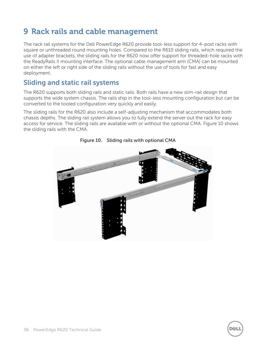# <span id="page-37-0"></span>**9 Rack rails and cable management**

The rack rail systems for the Dell PowerEdge R620 provide tool-less support for 4-post racks with square or unthreaded round mounting holes. Compared to the R610 sliding rails, which required the use of adapter brackets, the sliding rails for the R620 now offer support for threaded-hole racks with the ReadyRails II mounting interface. The optional cable management arm (CMA) can be mounted on either the left or right side of the sliding rails without the use of tools for fast and easy deployment.

# <span id="page-37-1"></span>**Sliding and static rail systems**

The R620 supports both sliding rails and static rails. Both rails have a new slim-rail design that supports the wide system chassis. The rails ship in the tool-less mounting configuration but can be converted to the tooled configuration very quickly and easily.

<span id="page-37-2"></span>The sliding rails for the R620 also include a self-adjusting mechanism that accommodates both chassis depths. The sliding rail system allows you to fully extend the server out the rack for easy access for service. The sliding rails are available with or without the optional CMA. [Figure 10](#page-37-2) shows the sliding rails with the CMA.



**Figure 10. Sliding rails with optional CMA**

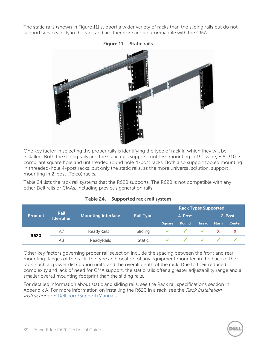<span id="page-38-1"></span>The static rails (shown in [Figure 11\)](#page-38-1) support a wider variety of racks than the sliding rails but do not support serviceability in the rack and are therefore are not compatible with the CMA.





One key factor in selecting the proper rails is identifying the type of rack in which they will be installed. Both the sliding rails and the static rails support tool-less mounting in 19"-wide, EIA-310-E compliant square hole and unthreaded round hole 4-post racks. Both also support tooled mounting in threaded-hole 4-post racks, but only the static rails, as the more universal solution, support mounting in 2-post (Telco) racks.

[Table 24](#page-38-0) lists the rack rail systems that the R620 supports. The R620 is not compatible with any other Dell rails or CMAs, including previous generation rails.

<span id="page-38-0"></span>

|                                     | <b>Rail</b> |                           |                  | <b>Rack Types Supported</b> |              |               |              |               |  |
|-------------------------------------|-------------|---------------------------|------------------|-----------------------------|--------------|---------------|--------------|---------------|--|
| <b>Product</b><br><b>Identifier</b> |             | <b>Mounting Interface</b> | <b>Rail Type</b> | 4-Post                      |              |               | 2-Post       |               |  |
|                                     |             |                           |                  | <b>Square</b>               | <b>Round</b> | <b>Thread</b> | <b>Flush</b> | <b>Center</b> |  |
| A7<br><b>R620</b><br>A8             |             | ReadyRails II             | Sliding          |                             |              |               |              |               |  |
|                                     |             | ReadyRails                | <b>Static</b>    |                             |              |               |              |               |  |

| Table 24.<br>Supported rack rail system |
|-----------------------------------------|
|-----------------------------------------|

Other key factors governing proper rail selection include the spacing between the front and rear mounting flanges of the rack, the type and location of any equipment mounted in the back of the rack, such as power distribution units, and the overall depth of the rack. Due to their reduced complexity and lack of need for CMA support, the static rails offer a greater adjustability range and a smaller overall mounting footprint than the sliding rails.

For detailed information about static and sliding rails, see the [Rack rail specifications](#page-53-0) section in Appendix A. For more information on installing the R620 in a rack, see the Rack Installation Instructions on [Dell.com/Support/Manuals.](http://www.dell.com/support/manuals)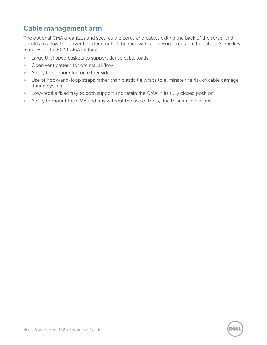# <span id="page-39-0"></span>**Cable management arm**

The optional CMA organizes and secures the cords and cables exiting the back of the server and unfolds to allow the server to extend out of the rack without having to detach the cables. Some key features of the R620 CMA include:

- **Large U-shaped baskets to support dense cable loads**
- Open vent pattern for optimal airflow
- Ability to be mounted on either side
- Use of hook-and-loop straps rather than plastic tie wraps to eliminate the risk of cable damage during cycling
- Low-profile fixed tray to both support and retain the CMA in its fully closed position
- Ability to mount the CMA and tray without the use of tools, due to snap-in designs

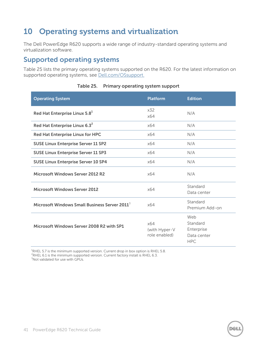# <span id="page-40-0"></span>**10 Operating systems and virtualization**

The Dell PowerEdge R620 supports a wide range of industry-standard operating systems and virtualization software.

# <span id="page-40-1"></span>**Supported operating systems**

[Table 25](#page-40-2) lists the primary operating systems supported on the R620. For the latest information on supported operating systems, see [Dell.com/OSsupport.](http://www.dell.com/OSsupport)

<span id="page-40-2"></span>

| <b>Operating System</b>                                   | <b>Platform</b>                       | <b>Edition</b>                                             |
|-----------------------------------------------------------|---------------------------------------|------------------------------------------------------------|
| Red Hat Enterprise Linux 5.8 <sup>1</sup>                 | x32<br>x64                            | N/A                                                        |
| Red Hat Enterprise Linux 6.3 <sup>2</sup>                 | x64                                   | N/A                                                        |
| Red Hat Enterprise Linux for HPC                          | x64                                   | N/A                                                        |
| <b>SUSE Linux Enterprise Server 11 SP2</b>                | x64                                   | N/A                                                        |
| <b>SUSE Linux Enterprise Server 11 SP3</b>                | x64                                   | N/A                                                        |
| <b>SUSE Linux Enterprise Server 10 SP4</b>                | x64                                   | N/A                                                        |
| Microsoft Windows Server 2012 R2                          | x64                                   | N/A                                                        |
| <b>Microsoft Windows Server 2012</b>                      | x64                                   | Standard<br>Data center                                    |
| Microsoft Windows Small Business Server 2011 <sup>3</sup> | x64                                   | Standard<br>Premium Add-on                                 |
| Microsoft Windows Server 2008 R2 with SP1                 | x64<br>(with Hyper-V<br>role enabled) | Web<br>Standard<br>Enterprise<br>Data center<br><b>HPC</b> |

#### **Table 25. Primary operating system support**

 $^{4}$ RHEL 5.7 is the minimum supported version. Current drop in box option is RHEL 5.8.

<sup>2</sup>RHEL 6.1 is the minimum supported version. Current factory install is RHEL 6.3.

 $3$ Not validated for use with GPUs.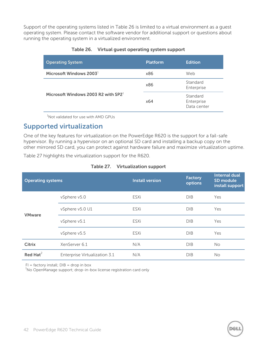<span id="page-41-1"></span>Support of the operating systems listed in [Table 26](#page-41-1) is limited to a virtual environment as a guest operating system. Please contact the software vendor for additional support or questions about running the operating system in a virtualized environment.

| <b>Operating System</b>               | <b>Platform</b> | <b>Edition</b>                        |
|---------------------------------------|-----------------|---------------------------------------|
| Microsoft Windows 2003 $^1$           | x86             | Web                                   |
|                                       | x86             | Standard<br>Enterprise                |
| Microsoft Windows 2003 R2 with $SP21$ | x64             | Standard<br>Enterprise<br>Data center |

#### **Table 26. Virtual guest operating system support**

 $1$ Not validated for use with AMD GPUs

### <span id="page-41-0"></span>**Supported virtualization**

One of the key features for virtualization on the PowerEdge R620 is the support for a fail-safe hypervisor. By running a hypervisor on an optional SD card and installing a backup copy on the other mirrored SD card, you can protect against hardware failure and maximize virtualization uptime.

<span id="page-41-2"></span>[Table 27](#page-41-2) highlights the virtualization support for the R620.

| <b>Operating systems</b> |                               | <b>Install version</b> | <b>Factory</b><br>options | <b>Internal dual</b><br>SD module<br>install support |
|--------------------------|-------------------------------|------------------------|---------------------------|------------------------------------------------------|
|                          | vSphere v5.0                  | ESXi                   | DIB                       | Yes                                                  |
| <b>VMware</b>            | vSphere v5.0 U1               | ESXi                   | DIB                       | Yes                                                  |
|                          | vSphere v5.1                  | ESXi                   | DIB                       | Yes                                                  |
|                          | vSphere v5.5                  | ESXi                   | DIB                       | Yes                                                  |
| <b>Citrix</b>            | XenServer 6.1                 | N/A                    | DIB                       | No.                                                  |
| Red Hat $^2$             | Enterprise Virtualization 3.1 | N/A                    | DIB                       | <b>No</b>                                            |

#### **Table 27. Virtualization support**

 $FI = factory install; DIB = drop in box$ 

 $1$ No OpenManage support; drop-in-box license registration card only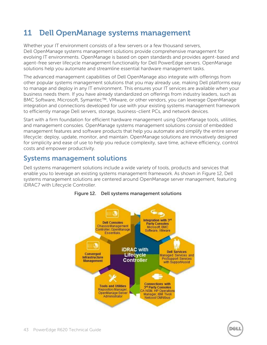# <span id="page-42-0"></span>**11 Dell OpenManage systems management**

Whether your IT environment consists of a few servers or a few thousand servers, Dell OpenManage systems management solutions provide comprehensive management for evolving IT environments. OpenManage is based on open standards and provides agent-based and agent-free server lifecycle management functionality for Dell PowerEdge servers. OpenManage solutions help you automate and streamline essential hardware management tasks.

The advanced management capabilities of Dell OpenManage also integrate with offerings from other popular systems management solutions that you may already use, making Dell platforms easy to manage and deploy in any IT environment. This ensures your IT services are available when your business needs them. If you have already standardized on offerings from industry leaders, such as BMC Software, Microsoft, Symantec™, VMware, or other vendors, you can leverage OpenManage integration and connections developed for use with your existing systems management framework to efficiently manage Dell servers, storage, business-client PCs, and network devices.

Start with a firm foundation for efficient hardware management using OpenManage tools, utilities, and management consoles. OpenManage systems management solutions consist of embedded management features and software products that help you automate and simplify the entire server lifecycle: deploy, update, monitor, and maintain. OpenManage solutions are innovatively designed for simplicity and ease of use to help you reduce complexity, save time, achieve efficiency, control costs and empower productivity.

# <span id="page-42-1"></span>**Systems management solutions**

<span id="page-42-2"></span>Dell systems management solutions include a wide variety of tools, products and services that enable you to leverage an existing systems management framework. As shown in [Figure 12,](#page-42-2) Dell systems management solutions are centered around OpenManage server management, featuring iDRAC7 with Lifecycle Controller.



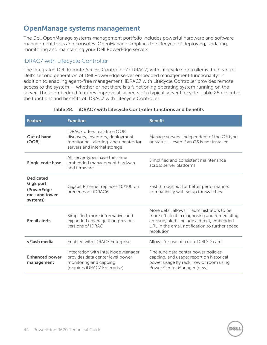# <span id="page-43-0"></span>**OpenManage systems management**

The Dell OpenManage systems management portfolio includes powerful hardware and software management tools and consoles. OpenManage simplifies the lifecycle of deploying, updating, monitoring and maintaining your Dell PowerEdge servers.

### iDRAC7 with Lifecycle Controller

The Integrated Dell Remote Access Controller 7 (iDRAC7) with Lifecycle Controller is the heart of Dell's second generation of Dell PowerEdge server embedded management functionality. In addition to enabling agent-free management, iDRAC7 with Lifecycle Controller provides remote access to the system — whether or not there is a functioning operating system running on the server. These embedded features improve all aspects of a typical server lifecycle. [Table 28](#page-43-1) describes the functions and benefits of iDRAC7 with Lifecycle Controller.

<span id="page-43-1"></span>

| <b>Feature</b>                                                                                     | <b>Function</b>                                                                                                                         | <b>Benefit</b>                                                                                                                                                                                            |  |
|----------------------------------------------------------------------------------------------------|-----------------------------------------------------------------------------------------------------------------------------------------|-----------------------------------------------------------------------------------------------------------------------------------------------------------------------------------------------------------|--|
| Out of band<br>(OOB)                                                                               | iDRAC7 offers real-time OOB<br>discovery, inventory, deployment<br>monitoring, alerting and updates for<br>servers and internal storage | Manage servers independent of the OS type<br>or status - even if an OS is not installed                                                                                                                   |  |
| All server types have the same<br>embedded management hardware<br>Single code base<br>and firmware |                                                                                                                                         | Simplified and consistent maintenance<br>across server platforms                                                                                                                                          |  |
| <b>Dedicated</b><br><b>GigE port</b><br>(PowerEdge<br>rack and tower<br>systems)                   | Gigabit Ethernet replaces 10/100 on<br>predecessor iDRAC6                                                                               | Fast throughput for better performance;<br>compatibility with setup for switches                                                                                                                          |  |
| <b>Email alerts</b>                                                                                | Simplified, more informative, and<br>expanded coverage than previous<br>versions of <i>iDRAC</i>                                        | More detail allows IT administrators to be<br>more efficient in diagnosing and remediating<br>an issue; alerts include a direct, embedded<br>URL in the email notification to further speed<br>resolution |  |
| vFlash media                                                                                       | Enabled with iDRAC7 Enterprise                                                                                                          | Allows for use of a non-Dell SD card                                                                                                                                                                      |  |
| <b>Enhanced power</b><br>management                                                                | Integration with Intel Node Manager<br>provides data center level power<br>monitoring and capping<br>(requires iDRAC7 Enterprise)       | Fine tune data center power policies,<br>capping, and usage; report on historical<br>power usage by rack, row or room using<br>Power Center Manager (new)                                                 |  |

#### **Table 28. iDRAC7 with Lifecycle Controller functions and benefits**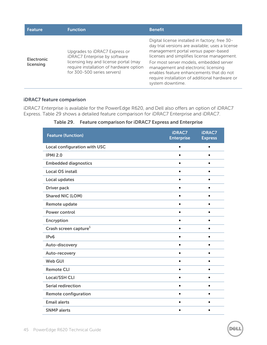| <b>Feature</b>                 | <b>Function</b>                                                                                                                                                                   | <b>Benefit</b>                                                                                                                                                                                                                                                                                                                                                                                |
|--------------------------------|-----------------------------------------------------------------------------------------------------------------------------------------------------------------------------------|-----------------------------------------------------------------------------------------------------------------------------------------------------------------------------------------------------------------------------------------------------------------------------------------------------------------------------------------------------------------------------------------------|
| <b>Electronic</b><br>licensing | Upgrades to iDRAC7 Express or<br>iDRAC7 Enterprise by software<br>licensing key and license portal (may<br>require installation of hardware option<br>for 300-500 series servers) | Digital license installed in factory; free 30-<br>day trial versions are available; uses a license<br>management portal versus paper-based<br>licenses and simplifies license management.<br>For most server models, embedded server<br>management and electronic licensing<br>enables feature enhancements that do not<br>require installation of additional hardware or<br>system downtime. |

#### **iDRAC7 feature comparison**

<span id="page-44-0"></span>iDRAC7 Enterprise is available for the PowerEdge R620, and Dell also offers an option of iDRAC7 Express. [Table 29](#page-44-0) shows a detailed feature comparison for iDRAC7 Enterprise and iDRAC7.

| <b>Feature (function)</b>           | <b>iDRAC7</b><br><b>Enterprise</b> | <b>iDRAC7</b><br><b>Express</b> |
|-------------------------------------|------------------------------------|---------------------------------|
| <b>Local configuration with USC</b> | $\bullet$                          | $\bullet$                       |
| <b>IPMI 2.0</b>                     | $\bullet$                          | $\bullet$                       |
| <b>Embedded diagnostics</b>         |                                    |                                 |
| <b>Local OS install</b>             |                                    | $\bullet$                       |
| <b>Local updates</b>                | $\bullet$                          | $\bullet$                       |
| <b>Driver pack</b>                  |                                    | $\bullet$                       |
| <b>Shared NIC (LOM)</b>             |                                    | $\bullet$                       |
| Remote update                       | $\bullet$                          | $\bullet$                       |
| <b>Power control</b>                |                                    |                                 |
| Encryption                          |                                    |                                 |
| Crash screen capture <sup>1</sup>   |                                    | $\bullet$                       |
| IPv6                                |                                    | $\bullet$                       |
| Auto-discovery                      |                                    |                                 |
| Auto-recovery                       |                                    | $\bullet$                       |
| <b>Web GUI</b>                      | $\bullet$                          | $\bullet$                       |
| <b>Remote CLI</b>                   |                                    |                                 |
| <b>Local/SSH CLI</b>                |                                    | $\bullet$                       |
| <b>Serial redirection</b>           | $\bullet$                          | $\bullet$                       |
| <b>Remote configuration</b>         |                                    |                                 |
| <b>Email alerts</b>                 | ٠                                  | $\bullet$                       |
| <b>SNMP</b> alerts                  | $\bullet$                          | $\bullet$                       |

**Table 29. Feature comparison for iDRAC7 Express and Enterprise**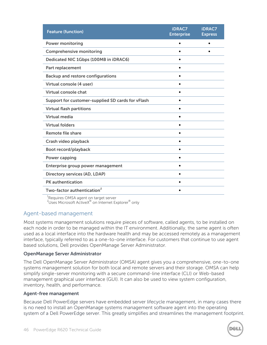| <b>Feature (function)</b>                         | <b>iDRAC7</b><br><b>Enterprise</b> | <b>iDRAC7</b><br><b>Express</b> |
|---------------------------------------------------|------------------------------------|---------------------------------|
| <b>Power monitoring</b>                           | $\bullet$                          |                                 |
| <b>Comprehensive monitoring</b>                   |                                    |                                 |
| Dedicated NIC 1Gbps (100MB in iDRAC6)             |                                    |                                 |
| Part replacement                                  |                                    |                                 |
| <b>Backup and restore configurations</b>          |                                    |                                 |
| Virtual console (4 user)                          |                                    |                                 |
| <b>Virtual console chat</b>                       |                                    |                                 |
| Support for customer-supplied SD cards for vFlash |                                    |                                 |
| <b>Virtual flash partitions</b>                   | $\bullet$                          |                                 |
| <b>Virtual media</b>                              | $\bullet$                          |                                 |
| <b>Virtual folders</b>                            |                                    |                                 |
| <b>Remote file share</b>                          |                                    |                                 |
| Crash video playback                              | $\bullet$                          |                                 |
| Boot record/playback                              | ٠                                  |                                 |
| <b>Power capping</b>                              | $\bullet$                          |                                 |
| Enterprise group power management                 |                                    |                                 |
| <b>Directory services (AD, LDAP)</b>              |                                    |                                 |
| <b>PK</b> authentication                          | $\bullet$                          |                                 |
| Two-factor authentication <sup>2</sup>            | $\bullet$                          |                                 |
| $1 -$<br>$\sim$ $\sim$ $\sim$ $\sim$              |                                    |                                 |

<sup>1</sup>Requires OMSA agent on target server

 $^{2}$ Uses Microsoft ActiveX $^{\circledast}$  on Internet Explorer $^{\circledast}$  only

#### Agent-based management

Most systems management solutions require pieces of software, called agents, to be installed on each node in order to be managed within the IT environment. Additionally, the same agent is often used as a local interface into the hardware health and may be accessed remotely as a management interface, typically referred to as a one-to-one interface. For customers that continue to use agent based solutions, Dell provides OpenManage Server Administrator.

#### **OpenManage Server Administrator**

The Dell OpenManage Server Administrator (OMSA) agent gives you a comprehensive, one-to-one systems management solution for both local and remote servers and their storage. OMSA can help simplify single-server monitoring with a secure command-line interface (CLI) or Web-based management graphical user interface (GUI). It can also be used to view system configuration, inventory, health, and performance.

#### **Agent-free management**

Because Dell PowerEdge servers have embedded server lifecycle management, in many cases there is no need to install an OpenManage systems management software agent into the operating system of a Dell PowerEdge server. This greatly simplifies and streamlines the management footprint.

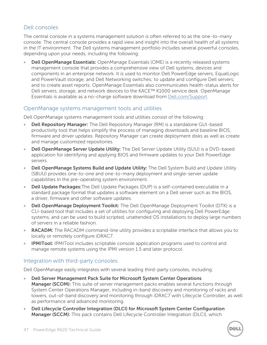### Dell consoles

The central console in a systems management solution is often referred to as the one-to-many console. The central console provides a rapid view and insight into the overall health of all systems in the IT environment. The Dell systems management portfolio includes several powerful consoles, depending upon your needs, including the following:

 **Dell OpenManage Essentials:** OpenManage Essentials (OME) is a recently released systems management console that provides a comprehensive view of Dell systems, devices and components in an enterprise network. It is used to monitor Dell PowerEdge servers, EqualLogic and PowerVault storage, and Dell Networking switches; to update and configure Dell servers; and to create asset reports. OpenManage Essentials also communicates health-status alerts for Dell servers, storage, and network devices to the KACE™ K1000 service desk. OpenManage Essentials is available as a no-charge software download from [Dell.com/Support.](http://www.dell.com/support)

#### OpenManage systems management tools and utilities

Dell OpenManage systems management tools and utilities consist of the following:

- **Dell Repository Manager:** The Dell Repository Manager (RM) is a standalone GUI-based productivity tool that helps simplify the process of managing downloads and baseline BIOS, firmware and driver updates. Repository Manager can create deployment disks as well as create and manage customized repositories.
- **Dell OpenManage Server Update Utility:** The Dell Server Update Utility (SUU) is a DVD-based application for identifying and applying BIOS and firmware updates to your Dell PowerEdge servers.
- **Dell OpenManage Systems Build and Update Utility:** The Dell System Build and Update Utility (SBUU) provides one-to-one and one-to-many deployment and single-server update capabilities in the pre-operating system environment.
- **Dell Update Packages:**The Dell Update Packages (DUP) is a self-contained executable in a standard package format that updates a software element on a Dell server such as the BIOS, a driver, firmware and other software updates.
- **Dell OpenManage Deployment Toolkit:** The Dell OpenManage Deployment Toolkit (DTK) is a CLI-based tool that includes a set of utilities for configuring and deploying Dell PowerEdge systems, and can be used to build scripted, unattended OS installations to deploy large numbers of servers in a reliable fashion.
- **RACADM:** The RACADM command-line utility provides a scriptable interface that allows you to locally or remotely configure iDRAC7.
- **IPMITool:** IPMITool includes scriptable console application programs used to control and manage remote systems using the IPMI version 1.5 and later protocol.

#### Integration with third-party consoles

Dell OpenManage easily integrates with several leading third-party consoles, including:

- **Dell Server Management Pack Suite for Microsoft System Center Operations Manager (SCOM):** This suite of server management packs enables several functions through System Center Operations Manager, including in-band discovery and monitoring of racks and towers, out-of-band discovery and monitoring through iDRAC7 with Lifecycle Controller, as well as performance and advanced monitoring.
- **Dell Lifecycle Controller Integration (DLCI) for Microsoft System Center Configuration Manager (SCCM):** This pack contains Dell Lifecycle Controller Integration (DLCI), which

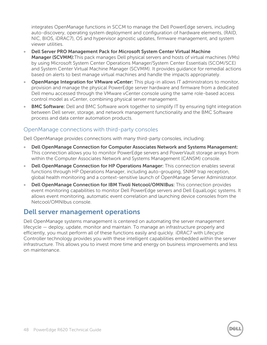integrates OpenManage functions in SCCM to manage the Dell PowerEdge servers, including auto-discovery, operating system deployment and configuration of hardware elements, (RAID, NIC, BIOS, iDRAC7), OS and hypervisor agnostic updates, firmware management, and system viewer utilities.

- **Dell Server PRO Management Pack for Microsoft System Center Virtual Machine Manager (SCVMM):**This pack manages Dell physical servers and hosts of virtual machines (VMs) by using Microsoft System Center Operations Manager/System Center Essentials (SCOM/SCE) and System Center Virtual Machine Manager (SCVMM). It provides guidance for remedial actions based on alerts to best manage virtual machines and handle the impacts appropriately.
- **OpenMange Integration for VMware vCenter:** This plug-in allows IT administrators to monitor, provision and manage the physical PowerEdge server hardware and firmware from a dedicated Dell menu accessed through the VMware vCenter console using the same role-based access control model as vCenter, combining physical server management.
- **BMC Software:** Dell and BMC Software work together to simplify IT by ensuring tight integration between Dell server, storage, and network management functionality and the BMC Software process and data center automation products.

#### OpenManage connections with third-party consoles

Dell OpenManage provides connections with many third-party consoles, including:

- **Dell OpenManage Connection for Computer Associates Network and Systems Management:** This connection allows you to monitor PowerEdge servers and PowerVault storage arrays from within the Computer Associates Network and Systems Management (CANSM) console.
- **Dell OpenManage Connection for HP Operations Manager:** This connection enables several functions through HP Operations Manager, including auto-grouping, SNMP trap reception, global health monitoring and a context-sensitive launch of OpenManage Server Administrator.
- **Dell OpenManage Connection for IBM Tivoli Netcool/OMNIBus:** This connection provides event monitoring capabilities to monitor Dell PowerEdge servers and Dell EqualLogic systems. It allows event monitoring, automatic event correlation and launching device consoles from the Netcool/OMNIbus console.

### <span id="page-47-0"></span>**Dell server management operations**

Dell OpenManage systems management is centered on automating the server management lifecycle — deploy, update, monitor and maintain. To manage an infrastructure properly and efficiently, you must perform all of these functions easily and quickly. iDRAC7 with Lifecycle Controller technology provides you with these intelligent capabilities embedded within the server infrastructure. This allows you to invest more time and energy on business improvements and less on maintenance.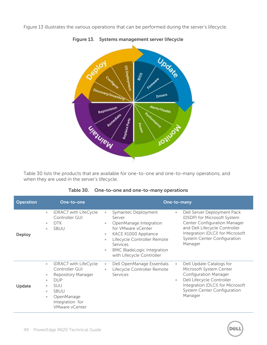<span id="page-48-1"></span>[Figure 13](#page-48-1) illustrates the various operations that can be performed during the server's lifecycle.



**Figure 13. Systems management server lifecycle**

<span id="page-48-0"></span>[Table 30](#page-48-0) lists the products that are available for one-to-one and one-to-many operations, and when they are used in the server's lifecycle.

| <b>Operation</b> | One-to-one                                                                                                                                                                                                                                                     | One-to-many                                                                                                                                                                                                                                                                                                                                                                                                                                                                                                                               |  |  |  |  |
|------------------|----------------------------------------------------------------------------------------------------------------------------------------------------------------------------------------------------------------------------------------------------------------|-------------------------------------------------------------------------------------------------------------------------------------------------------------------------------------------------------------------------------------------------------------------------------------------------------------------------------------------------------------------------------------------------------------------------------------------------------------------------------------------------------------------------------------------|--|--|--|--|
| Deploy           | iDRAC7 with LifeCycle<br>$\bullet$<br>Controller GUI<br>DTK<br>$\qquad \qquad \bullet$<br><b>SBUU</b><br>$\qquad \qquad \bullet$                                                                                                                               | Dell Server Deployment Pack<br>Symantec Deployment<br>$\bullet$<br>$\bullet$<br>(DSDP) for Microsoft System<br>Server<br>Center Configuration Manager<br>OpenManage Integration<br>$\qquad \qquad \bullet$<br>and Dell Lifecycle Controller<br>for VMware vCenter<br>Integration (DLCI) for Microsoft<br>KACE K1000 Appliance<br>$\bullet$<br>System Center Configuration<br>Lifecycle Controller Remote<br>$\qquad \qquad \bullet$<br>Manager<br>Services<br><b>BMC BladeLogic Integration</b><br>$\bullet$<br>with Lifecycle Controller |  |  |  |  |
| Update           | iDRAC7 with LifeCycle<br>$\bullet$<br>Controller GUI<br>Repository Manager<br>$\bullet$<br><b>DUP</b><br>$\qquad \qquad \bullet$<br><b>SUU</b><br>$\bullet$<br><b>SBUU</b><br>$\bullet$<br>OpenManage<br>$\bullet$<br>Integration for<br><b>VMware vCenter</b> | Dell Update Catalogs for<br>Dell OpenManage Essentials<br>$\bullet$<br>$\bullet$<br>Microsoft System Center<br>Lifecycle Controller Remote<br>$\bullet$<br><b>Configuration Manager</b><br>Services<br>Dell Lifecycle Controller<br>$\bullet$<br>Integration (DLCI) for Microsoft<br><b>System Center Configuration</b><br>Manager                                                                                                                                                                                                        |  |  |  |  |

#### **Table 30. One-to-one and one-to-many operations**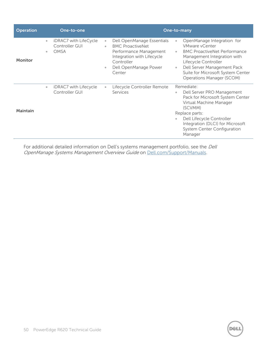| <b>Operation</b> |                        | One-to-one                                      | One-to-many                                                     |                                                                                                                                                                |                                    |                                                                                                                                                                                                                                                 |
|------------------|------------------------|-------------------------------------------------|-----------------------------------------------------------------|----------------------------------------------------------------------------------------------------------------------------------------------------------------|------------------------------------|-------------------------------------------------------------------------------------------------------------------------------------------------------------------------------------------------------------------------------------------------|
| <b>Monitor</b>   | $\bullet$<br>$\bullet$ | iDRAC7 with LifeCycle<br>Controller GUI<br>OMSA | $\bullet$<br>$\qquad \qquad \bullet$<br>$\qquad \qquad \bullet$ | Dell OpenManage Essentials<br><b>BMC ProactiveNet</b><br>Performance Management<br>Integration with Lifecycle<br>Controller<br>Dell OpenManage Power<br>Center | $\bullet$<br>$\Phi$ .<br>$\bullet$ | OpenManage Integration for<br>VMware vCenter<br><b>BMC ProactiveNet Performance</b><br>Management Integration with<br>Lifecycle Controller<br>Dell Server Management Pack<br>Suite for Microsoft System Center<br>Operations Manager (SCOM)     |
| <b>Maintain</b>  | $\bullet$              | iDRAC7 with Lifecycle<br>Controller GUI         | $\bullet$                                                       | Lifecycle Controller Remote<br>Services                                                                                                                        | $\bullet$<br>$\bullet$             | Remediate:<br>Dell Server PRO Management<br>Pack for Microsoft System Center<br>Virtual Machine Manager<br>(SCVMM)<br>Replace parts:<br>Dell Lifecycle Controller<br>Integration (DLCI) for Microsoft<br>System Center Configuration<br>Manager |

For additional detailed information on Dell's systems management portfolio, see the Dell OpenManage Systems Management Overview Guide on [Dell.com/Support/Manuals.](http://www.dell.com/support/manuals)

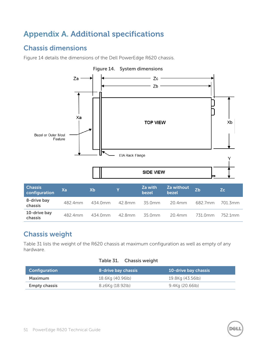# <span id="page-50-0"></span>**Appendix A. Additional specifications**

# <span id="page-50-1"></span>**Chassis dimensions**

[Figure 14](#page-50-4) details the dimensions of the Dell PowerEdge R620 chassis.

<span id="page-50-4"></span>

# <span id="page-50-2"></span>**Chassis weight**

[Table 31](#page-50-3) lists the weight of the R620 chassis at maximum configuration as well as empty of any hardware.

#### **Table 31. Chassis weight**

<span id="page-50-3"></span>

| <b>Configuration</b> | 8-drive bay chassis | 10-drive bay chassis |
|----------------------|---------------------|----------------------|
| Maximum              | 18.6Kg (40.96lb)    | 19.8Kg (43.56lb)     |
| <b>Empty chassis</b> | 8.z6Kg (18.92lb)    | 9.4Kg (20.66lb)      |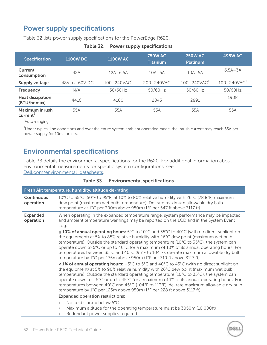# <span id="page-51-0"></span>**Power supply specifications**

<span id="page-51-2"></span>[Table 32](#page-51-2) lists power supply specifications for the PowerEdge R620.

| <b>Specification</b>                    | <b>1100W DC</b>     | <b>1100W AC</b>              | <b>750W AC</b><br><b>Titanium</b> | <b>750W AC</b><br><b>Platinum</b> | <b>495W AC</b>               |
|-----------------------------------------|---------------------|------------------------------|-----------------------------------|-----------------------------------|------------------------------|
| Current<br>consumption                  | 32A                 | $12A - 6.5A$                 | $10A - 5A$                        | $10A - 5A$                        | $6.5A - 3A$                  |
| <b>Supply voltage</b>                   | $-48V$ to $-60V$ DC | $100 - 240$ VAC <sup>1</sup> | $200 - 240$ VAC                   | $100 - 240$ VAC <sup>1</sup>      | $100 - 240$ VAC <sup>1</sup> |
| Frequency                               | N/A                 | 50/60Hz                      | 50/60Hz                           | 50/60Hz                           | 50/60Hz                      |
| <b>Heat dissipation</b><br>(BTU/hr max) | 4416                | 4100                         | 2843                              | 2891                              | 1908                         |
| Maximum inrush<br>current <sup>2</sup>  | 55A                 | 55A                          | 55A                               | 55A                               | 55A                          |

#### **Table 32. Power supply specifications**

<sup>1</sup>Auto-ranging

<sup>2</sup>Under typical line conditions and over the entire system ambient operating range, the inrush current may reach 55A per power supply for 10ms or less.

# <span id="page-51-1"></span>**Environmental specifications**

[Table 33](#page-51-3) details the environmental specifications for the R620. For additional information about environmental measurements for specific system configurations, see [Dell.com/environmental\\_datasheets.](http://www.dell.com/environmental_datasheets)

<span id="page-51-3"></span>

|                                                                                                                                                                                                                      | Fresh Air: temperature, humidity, altitude de-rating                                                                                                                                                                                                                                                                                                                                                                                                                                                                                                                                   |  |  |
|----------------------------------------------------------------------------------------------------------------------------------------------------------------------------------------------------------------------|----------------------------------------------------------------------------------------------------------------------------------------------------------------------------------------------------------------------------------------------------------------------------------------------------------------------------------------------------------------------------------------------------------------------------------------------------------------------------------------------------------------------------------------------------------------------------------------|--|--|
| <b>Continuous</b><br>operation                                                                                                                                                                                       | 10°C to 35°C (50°F to 95°F) at 10% to 80% relative humidity with 26°C (78.8°F) maximum<br>dew point (maximum wet bulb temperature). De-rate maximum allowable dry bulb<br>temperature at 1°C per 300m above 950m (1°F per 547 ft above 3117 ft).                                                                                                                                                                                                                                                                                                                                       |  |  |
| <b>Expanded</b><br>When operating in the expanded temperature range, system performance may be impacted,<br>and ambient temperature warnings may be reported on the LCD and in the System Event<br>operation<br>Log. |                                                                                                                                                                                                                                                                                                                                                                                                                                                                                                                                                                                        |  |  |
|                                                                                                                                                                                                                      | ≤ 10% of annual operating hours: 5°C to 10°C and 35°C to 40°C (with no direct sunlight on<br>the equipment) at 5% to 85% relative humidity with 26°C dew point (maximum wet bulb<br>temperature). Outside the standard operating temperature (10°C to 35°C), the system can<br>operate down to 5°C or up to 40°C for a maximum of 10% of its annual operating hours. For<br>temperatures between 35°C and 40°C (95°F to 104°F), de-rate maximum allowable dry bulb<br>temperature by 1°C per 175m above 950m (1°F per 319 ft above 3117 ft).                                           |  |  |
|                                                                                                                                                                                                                      | ≤ 1% of annual operating hours: $-5^{\circ}$ C to $5^{\circ}$ C and 40 $^{\circ}$ C to 45 $^{\circ}$ C (with no direct sunlight on<br>the equipment) at 5% to 90% relative humidity with 26°C dew point (maximum wet bulb<br>temperature). Outside the standard operating temperature (10°C to 35°C), the system can<br>operate down to -5°C or up to 45°C for a maximum of 1% of its annual operating hours. For<br>temperatures between 40°C and 45°C (104°F to 113°F), de-rate maximum allowable dry bulb<br>temperature by 1°C per 125m above 950m (1°F per 228 ft above 3117 ft). |  |  |
|                                                                                                                                                                                                                      | <b>Expanded operation restrictions:</b>                                                                                                                                                                                                                                                                                                                                                                                                                                                                                                                                                |  |  |
|                                                                                                                                                                                                                      | No cold startup below 5°C<br>$\bullet$                                                                                                                                                                                                                                                                                                                                                                                                                                                                                                                                                 |  |  |
|                                                                                                                                                                                                                      | Maximum altitude for the operating temperature must be 3050m (10,000ft)<br>$\bullet$<br>Redundant power supplies required<br>$\bullet$                                                                                                                                                                                                                                                                                                                                                                                                                                                 |  |  |

**Table 33. Environmental specifications**

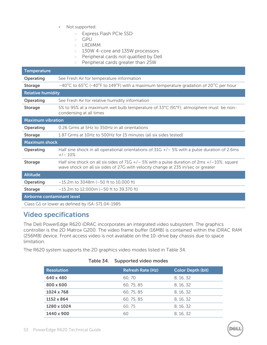- Not supported:
	- > Express Flash PCIe SSD
	- $>$  GPU
	- > LRDIMM
	- > 130W 4-core and 135W processors
	- > Peripheral cards not qualified by Dell
	- > Peripheral cards greater than 25W

| <b>Temperature</b>         |                                                                                                                                                                                      |
|----------------------------|--------------------------------------------------------------------------------------------------------------------------------------------------------------------------------------|
| <b>Operating</b>           | See Fresh Air for temperature information                                                                                                                                            |
| <b>Storage</b>             | $-40^{\circ}$ C to 65 $^{\circ}$ C (-40 $^{\circ}$ F to 149 $^{\circ}$ F) with a maximum temperature gradation of 20 $^{\circ}$ C per hour                                           |
| <b>Relative humidity</b>   |                                                                                                                                                                                      |
| Operating                  | See Fresh Air for relative humidity information                                                                                                                                      |
| <b>Storage</b>             | 5% to 95% at a maximum wet bulb temperature of 33°C (91°F); atmosphere must be non-<br>condensing at all times                                                                       |
| <b>Maximum vibration</b>   |                                                                                                                                                                                      |
| <b>Operating</b>           | 0.26 Grms at 5Hz to 350Hz in all orientations                                                                                                                                        |
| <b>Storage</b>             | 1.87 Grms at 10Hz to 500Hz for 15 minutes (all six sides tested)                                                                                                                     |
| <b>Maximum shock</b>       |                                                                                                                                                                                      |
| Operating                  | Half sine shock in all operational orientations of $31G + / -5\%$ with a pulse duration of 2.6ms<br>$+/- 10\%$                                                                       |
| <b>Storage</b>             | Half sine shock on all six sides of 71G $+/-$ 5% with a pulse duration of 2ms $+/-10\%$ ; square<br>wave shock on all six sides of 27G with velocity change at 235 in/sec or greater |
| <b>Altitude</b>            |                                                                                                                                                                                      |
| <b>Operating</b>           | $-15.2$ m to 3048m ( $-50$ ft to 10,000 ft)                                                                                                                                          |
| <b>Storage</b>             | $-15.2$ m to 12,000m ( $-50$ ft to 39,370 ft)                                                                                                                                        |
| Airborne contaminant level |                                                                                                                                                                                      |
|                            | Class G1 or lower as defined by ISA-S71.04-1985                                                                                                                                      |

# <span id="page-52-0"></span>**Video specifications**

The Dell PowerEdge R620 iDRAC incorporates an integrated video subsystem. The graphics controller is the 2D Matrox G200. The video frame buffer (16MB) is contained within the iDRAC RAM (256MB) device. Front access video is not available on the 10-drive bay chassis due to space limitation.

<span id="page-52-1"></span>The R620 system supports the 2D graphics video modes listed in [Table 34.](#page-52-1)

| <b>Resolution</b> | <b>Refresh Rate (Hz)</b> | <b>Color Depth (bit)</b> |
|-------------------|--------------------------|--------------------------|
| 640 x 480         | 60, 70                   | 8, 16, 32                |
| 800 x 600         | 60, 75, 85               | 8.16.32                  |
| 1024 x 768        | 60, 75, 85               | 8.16.32                  |
| 1152 x 864        | 60, 75, 85               | 8.16.32                  |
| 1280 x 1024       | 60.75                    | 8.16.32                  |
| 1440 x 900        | 60                       | 8.16.32                  |

### **Table 34. Supported video modes**

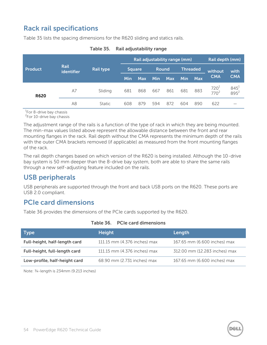# <span id="page-53-0"></span>**Rack rail specifications**

<span id="page-53-3"></span>[Table 35](#page-53-3) lists the spacing dimensions for the R620 sliding and statics rails.

|                     |                                 |                               | Rail adjustability range (mm) |            |                 |            |            | Rail depth (mm) |                    |                    |
|---------------------|---------------------------------|-------------------------------|-------------------------------|------------|-----------------|------------|------------|-----------------|--------------------|--------------------|
| <b>Product</b>      | Rail<br>Rail type<br>identifier | <b>Round</b><br><b>Square</b> |                               |            | <b>Threaded</b> |            | without    | with            |                    |                    |
|                     |                                 |                               | Min                           | <b>Max</b> | <b>Min</b>      | <b>Max</b> | <b>Min</b> | <b>Max</b>      | <b>CMA</b>         | <b>CMA</b>         |
| <b>R620</b><br>$-4$ | A7                              | Sliding                       | 681                           | 868        | 667             | 861        | 681        | 883             | $720^1$<br>$770^2$ | $845^1$<br>$895^2$ |
|                     | A8                              | <b>Static</b>                 | 608                           | 879        | 594             | 872        | 604        | 890             | 622                | –                  |

| Table 35. | Rail adjustability range |  |
|-----------|--------------------------|--|
|-----------|--------------------------|--|

<sup>1</sup>For 8-drive bay chassis

<sup>2</sup>For 10-drive bay chassis

The adjustment range of the rails is a function of the type of rack in which they are being mounted. The min-max values listed above represent the allowable distance between the front and rear mounting flanges in the rack. Rail depth without the CMA represents the minimum depth of the rails with the outer CMA brackets removed (if applicable) as measured from the front mounting flanges of the rack.

The rail depth changes based on which version of the R620 is being installed. Although the 10-drive bay system is 50 mm deeper than the 8-drive bay system, both are able to share the same rails through a new self-adjusting feature included on the rails.

# <span id="page-53-1"></span>**USB peripherals**

USB peripherals are supported through the front and back USB ports on the R620. These ports are USB 2.0 compliant.

# <span id="page-53-2"></span>**PCIe card dimensions**

[Table 36](#page-53-4) provides the dimensions of the PCIe cards supported by the R620.

<span id="page-53-4"></span>

| <b>Type</b>                   | <b>Height</b>                | Length                        |
|-------------------------------|------------------------------|-------------------------------|
| Full-height, half-length card | 111.15 mm (4.376 inches) max | 167.65 mm (6.600 inches) max  |
| Full-height, full-length card | 111.15 mm (4.376 inches) max | 312.00 mm (12.283 inches) max |
| Low-profile, half-height card | 68.90 mm (2.731 inches) max  | 167.65 mm (6.600 inches) max  |

#### **Table 36. PCIe card dimensions**

Note: ¾-length is 234mm (9.213 inches)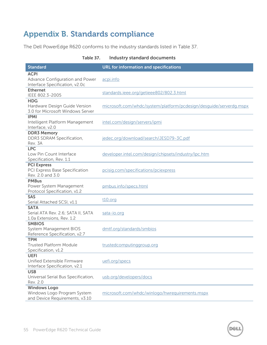# <span id="page-54-0"></span>**Appendix B. Standards compliance**

The Dell PowerEdge R620 conforms to the industry standards listed in [Table 37.](#page-54-1)

| <b>Standard</b>                                                                      | <b>URL for information and specifications</b>                      |
|--------------------------------------------------------------------------------------|--------------------------------------------------------------------|
| <b>ACPI</b><br>Advance Configuration and Power<br>Interface Specification, v2.0c     | acpi.info                                                          |
| <b>Ethernet</b><br>IEEE 802.3-2005                                                   | standards.ieee.org/getieee802/802.3.html                           |
| <b>HDG</b><br>Hardware Design Guide Version<br>3.0 for Microsoft Windows Server      | microsoft.com/whdc/system/platform/pcdesign/desguide/serverdg.mspx |
| <b>IPMI</b><br>Intelligent Platform Management<br>Interface, v2.0                    | intel.com/design/servers/ipmi                                      |
| <b>DDR3 Memory</b><br>DDR3 SDRAM Specification,<br>Rev. 3A                           | jedec.org/download/search/JESD79-3C.pdf                            |
| <b>LPC</b><br>Low Pin Count Interface<br>Specification, Rev. 1.1                     | developer.intel.com/design/chipsets/industry/lpc.htm               |
| <b>PCI Express</b><br>PCI Express Base Specification<br>Rev. 2.0 and 3.0             | pcisiq.com/specifications/pciexpress                               |
| <b>PMBus</b><br>Power System Management<br>Protocol Specification, v1.2              | pmbus.info/specs.html                                              |
| <b>SAS</b><br>Serial Attached SCSI, v1.1                                             | <u>t10.org</u>                                                     |
| <b>SATA</b><br>Serial ATA Rev. 2.6; SATA II, SATA<br>1.0a Extensions, Rev. 1.2       | sata-io.org                                                        |
| <b>SMBIOS</b><br>System Management BIOS<br>Reference Specification, v2.7             | dmtf.org/standards/smbios                                          |
| <b>TPM</b><br><b>Trusted Platform Module</b><br>Specification, v1.2                  | trustedcomputinggroup.org                                          |
| <b>UEFI</b><br>Unified Extensible Firmware<br>Interface Specification, v2.1          | uefi.org/specs                                                     |
| <b>USB</b><br>Universal Serial Bus Specification,<br>Rev. 2.0                        | usb.org/developers/docs                                            |
| <b>Windows Logo</b><br>Windows Logo Program System<br>and Device Requirements, v3.10 | microsoft.com/whdc/winlogo/hwrequirements.mspx                     |

#### <span id="page-54-1"></span>**Table 37. Industry standard documents**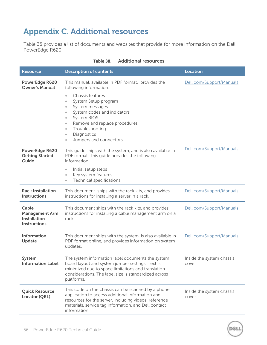# <span id="page-55-0"></span>**Appendix C. Additional resources**

[Table 38](#page-55-1) provides a list of documents and websites that provide for more information on the Dell PowerEdge R620.

<span id="page-55-1"></span>

| <b>Resource</b>                                                       | <b>Description of contents</b>                                                                                                                                                                                                                        | <b>Location</b>                    |
|-----------------------------------------------------------------------|-------------------------------------------------------------------------------------------------------------------------------------------------------------------------------------------------------------------------------------------------------|------------------------------------|
| PowerEdge R620<br><b>Owner's Manual</b>                               | This manual, available in PDF format, provides the<br>following information:<br>Chassis features<br>$\bullet$<br>System Setup program<br>$\bullet$                                                                                                    | Dell.com/Support/Manuals           |
|                                                                       | System messages<br>$\bullet$<br>System codes and indicators<br>$\bullet$<br>System BIOS<br>$\bullet$<br>Remove and replace procedures<br>$\bullet$<br>Troubleshooting<br>$\bullet$<br>Diagnostics<br>$\bullet$<br>Jumpers and connectors<br>$\bullet$ |                                    |
| PowerEdge R620<br><b>Getting Started</b><br>Guide                     | This guide ships with the system, and is also available in<br>PDF format. This guide provides the following<br>information:                                                                                                                           | Dell.com/Support/Manuals           |
|                                                                       | Initial setup steps<br>$\bullet$<br>Key system features<br>$\bullet$<br><b>Technical specifications</b><br>$\bullet$                                                                                                                                  |                                    |
| <b>Rack Installation</b><br><b>Instructions</b>                       | This document ships with the rack kits, and provides<br>instructions for installing a server in a rack.                                                                                                                                               | Dell.com/Support/Manuals           |
| Cable<br><b>Management Arm</b><br>Installation<br><b>Instructions</b> | This document ships with the rack kits, and provides<br>instructions for installing a cable management arm on a<br>rack.                                                                                                                              | Dell.com/Support/Manuals           |
| Information<br>Update                                                 | This document ships with the system, is also available in<br>PDF format online, and provides information on system<br>updates.                                                                                                                        | Dell.com/Support/Manuals           |
| System<br><b>Information Label</b>                                    | The system information label documents the system<br>board layout and system jumper settings. Text is<br>minimized due to space limitations and translation<br>considerations. The label size is standardized across<br>platforms.                    | Inside the system chassis<br>cover |
| <b>Quick Resource</b><br>Locator (QRL)                                | This code on the chassis can be scanned by a phone<br>application to access additional information and<br>resources for the server, including videos, reference<br>materials, service tag information, and Dell contact<br>information.               | Inside the system chassis<br>cover |

DEL

#### **Table 38. Additional resources**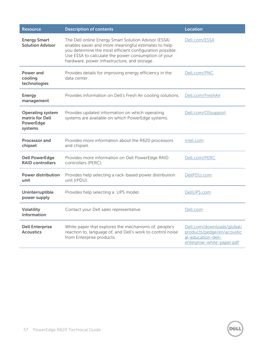| <b>Resource</b>                                                           | <b>Description of contents</b>                                                                                                                                                                                                                                                  | <b>Location</b>                                                                                              |
|---------------------------------------------------------------------------|---------------------------------------------------------------------------------------------------------------------------------------------------------------------------------------------------------------------------------------------------------------------------------|--------------------------------------------------------------------------------------------------------------|
| <b>Energy Smart</b><br><b>Solution Advisor</b>                            | The Dell online Energy Smart Solution Advisor (ESSA)<br>enables easier and more meaningful estimates to help<br>you determine the most efficient configuration possible.<br>Use ESSA to calculate the power consumption of your<br>hardware, power infrastructure, and storage. | Dell.com/ESSA                                                                                                |
| Power and<br>cooling<br>technologies                                      | Provides details for improving energy efficiency in the<br>data center.                                                                                                                                                                                                         | Dell.com/PNC                                                                                                 |
| <b>Energy</b><br>management                                               | Provides information on Dell's Fresh Air cooling solutions.                                                                                                                                                                                                                     | Dell.com/FreshAir                                                                                            |
| <b>Operating system</b><br>matrix for Dell<br><b>PowerEdge</b><br>systems | Provides updated information on which operating<br>systems are available on which PowerEdge systems.                                                                                                                                                                            | Dell.com/OSsupport                                                                                           |
| <b>Processor and</b><br>chipset                                           | Provides more information about the R620 processors<br>and chipset.                                                                                                                                                                                                             | Intel.com                                                                                                    |
| <b>Dell PowerEdge</b><br><b>RAID controllers</b>                          | Provides more information on Dell PowerEdge RAID<br>controllers (PERC).                                                                                                                                                                                                         | Dell.com/PERC                                                                                                |
| <b>Power distribution</b><br>unit                                         | Provides help selecting a rack-based power distribution<br>unit (rPDU).                                                                                                                                                                                                         | DellPDU.com                                                                                                  |
| Uninterruptible<br>power supply                                           | Provides help selecting a UPS model.                                                                                                                                                                                                                                            | DellUPS.com                                                                                                  |
| Volatility<br>information                                                 | Contact your Dell sales representative.                                                                                                                                                                                                                                         | Dell.com                                                                                                     |
| <b>Dell Enterprise</b><br><b>Acoustics</b>                                | White paper that explores the mechanisms of, people's<br>reaction to, language of, and Dell's work to control noise<br>from Enterprise products.                                                                                                                                | Dell.com/downloads/global/<br>products/pedge/en/acoustic<br>al-education-dell-<br>enterprise-white-paper.pdf |

**DEL**